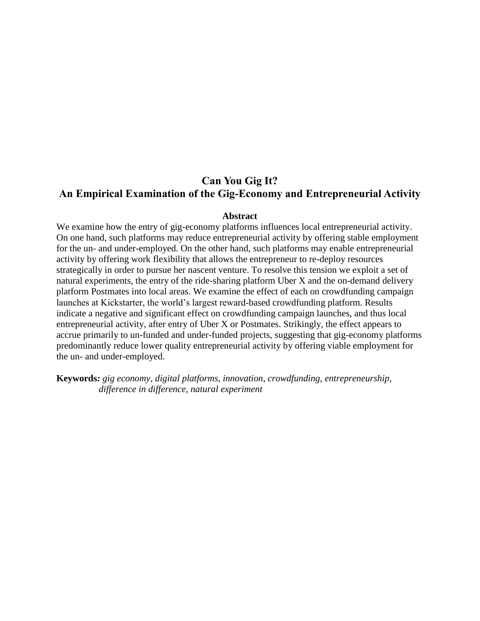# **Can You Gig It? An Empirical Examination of the Gig-Economy and Entrepreneurial Activity**

### **Abstract**

We examine how the entry of gig-economy platforms influences local entrepreneurial activity. On one hand, such platforms may reduce entrepreneurial activity by offering stable employment for the un- and under-employed. On the other hand, such platforms may enable entrepreneurial activity by offering work flexibility that allows the entrepreneur to re-deploy resources strategically in order to pursue her nascent venture. To resolve this tension we exploit a set of natural experiments, the entry of the ride-sharing platform Uber X and the on-demand delivery platform Postmates into local areas. We examine the effect of each on crowdfunding campaign launches at Kickstarter, the world's largest reward-based crowdfunding platform. Results indicate a negative and significant effect on crowdfunding campaign launches, and thus local entrepreneurial activity, after entry of Uber X or Postmates. Strikingly, the effect appears to accrue primarily to un-funded and under-funded projects, suggesting that gig-economy platforms predominantly reduce lower quality entrepreneurial activity by offering viable employment for the un- and under-employed.

**Keywords***: gig economy, digital platforms, innovation, crowdfunding, entrepreneurship, difference in difference, natural experiment*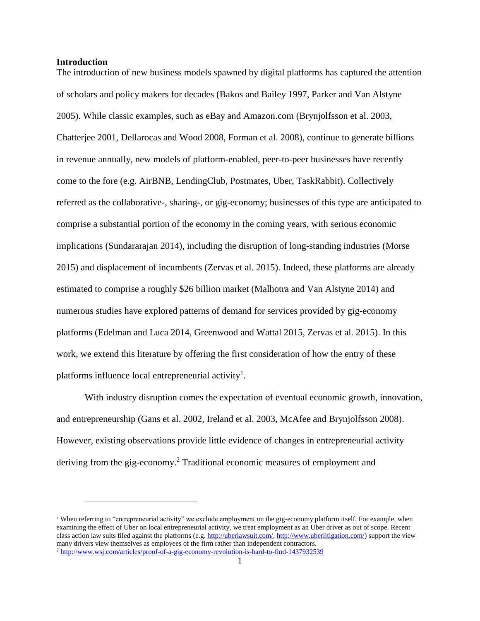#### **Introduction**

l

The introduction of new business models spawned by digital platforms has captured the attention of scholars and policy makers for decades (Bakos and Bailey 1997, Parker and Van Alstyne 2005). While classic examples, such as eBay and Amazon.com (Brynjolfsson et al. 2003, Chatterjee 2001, Dellarocas and Wood 2008, Forman et al. 2008), continue to generate billions in revenue annually, new models of platform-enabled, peer-to-peer businesses have recently come to the fore (e.g. AirBNB, LendingClub, Postmates, Uber, TaskRabbit). Collectively referred as the collaborative-, sharing-, or gig-economy; businesses of this type are anticipated to comprise a substantial portion of the economy in the coming years, with serious economic implications (Sundararajan 2014), including the disruption of long-standing industries (Morse 2015) and displacement of incumbents (Zervas et al. 2015). Indeed, these platforms are already estimated to comprise a roughly \$26 billion market (Malhotra and Van Alstyne 2014) and numerous studies have explored patterns of demand for services provided by gig-economy platforms (Edelman and Luca 2014, Greenwood and Wattal 2015, Zervas et al. 2015). In this work, we extend this literature by offering the first consideration of how the entry of these platforms influence local entrepreneurial activity<sup>1</sup>.

With industry disruption comes the expectation of eventual economic growth, innovation, and entrepreneurship (Gans et al. 2002, Ireland et al. 2003, McAfee and Brynjolfsson 2008). However, existing observations provide little evidence of changes in entrepreneurial activity deriving from the gig-economy. <sup>2</sup> Traditional economic measures of employment and

<sup>&</sup>lt;sup>1</sup> When referring to "entrepreneurial activity" we exclude employment on the gig-economy platform itself. For example, when examining the effect of Uber on local entrepreneurial activity, we treat employment as an Uber driver as out of scope. Recent class action law suits filed against the platforms (e.g[. http://uberlawsuit.com/,](http://uberlawsuit.com/) [http://www.uberlitigation.com/\)](http://www.uberlitigation.com/) support the view many drivers view themselves as employees of the firm rather than independent contractors. <sup>2</sup> <http://www.wsj.com/articles/proof-of-a-gig-economy-revolution-is-hard-to-find-1437932539>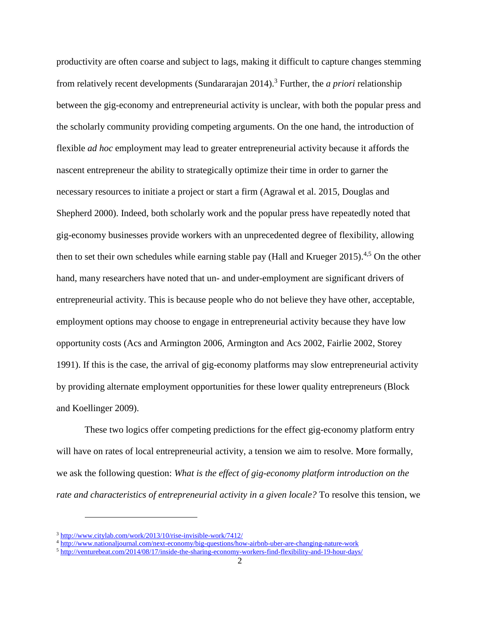productivity are often coarse and subject to lags, making it difficult to capture changes stemming from relatively recent developments (Sundararajan 2014). <sup>3</sup> Further, the *a priori* relationship between the gig-economy and entrepreneurial activity is unclear, with both the popular press and the scholarly community providing competing arguments. On the one hand, the introduction of flexible *ad hoc* employment may lead to greater entrepreneurial activity because it affords the nascent entrepreneur the ability to strategically optimize their time in order to garner the necessary resources to initiate a project or start a firm (Agrawal et al. 2015, Douglas and Shepherd 2000). Indeed, both scholarly work and the popular press have repeatedly noted that gig-economy businesses provide workers with an unprecedented degree of flexibility, allowing then to set their own schedules while earning stable pay (Hall and Krueger 2015).<sup>4,5</sup> On the other hand, many researchers have noted that un- and under-employment are significant drivers of entrepreneurial activity. This is because people who do not believe they have other, acceptable, employment options may choose to engage in entrepreneurial activity because they have low opportunity costs (Acs and Armington 2006, Armington and Acs 2002, Fairlie 2002, Storey 1991). If this is the case, the arrival of gig-economy platforms may slow entrepreneurial activity by providing alternate employment opportunities for these lower quality entrepreneurs (Block and Koellinger 2009).

These two logics offer competing predictions for the effect gig-economy platform entry will have on rates of local entrepreneurial activity, a tension we aim to resolve. More formally, we ask the following question: *What is the effect of gig-economy platform introduction on the rate and characteristics of entrepreneurial activity in a given locale?* To resolve this tension, we

 $\overline{\phantom{a}}$ 

<sup>3</sup> <http://www.citylab.com/work/2013/10/rise-invisible-work/7412/>

<sup>&</sup>lt;sup>4</sup> <http://www.nationaljournal.com/next-economy/big-questions/how-airbnb-uber-are-changing-nature-work>

<sup>5</sup> <http://venturebeat.com/2014/08/17/inside-the-sharing-economy-workers-find-flexibility-and-19-hour-days/>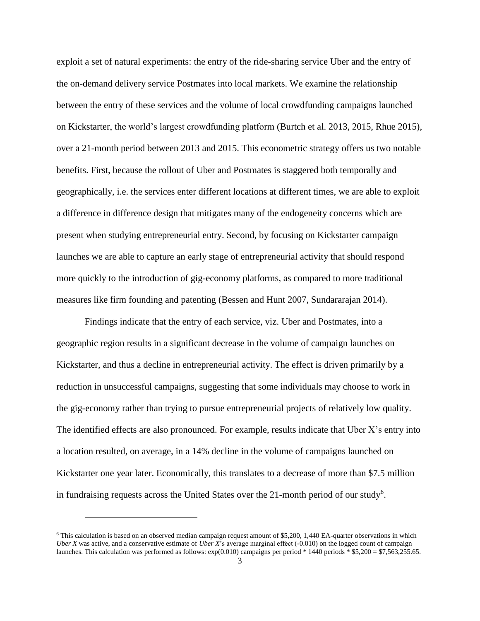exploit a set of natural experiments: the entry of the ride-sharing service Uber and the entry of the on-demand delivery service Postmates into local markets. We examine the relationship between the entry of these services and the volume of local crowdfunding campaigns launched on Kickstarter, the world's largest crowdfunding platform (Burtch et al. 2013, 2015, Rhue 2015), over a 21-month period between 2013 and 2015. This econometric strategy offers us two notable benefits. First, because the rollout of Uber and Postmates is staggered both temporally and geographically, i.e. the services enter different locations at different times, we are able to exploit a difference in difference design that mitigates many of the endogeneity concerns which are present when studying entrepreneurial entry. Second, by focusing on Kickstarter campaign launches we are able to capture an early stage of entrepreneurial activity that should respond more quickly to the introduction of gig-economy platforms, as compared to more traditional measures like firm founding and patenting (Bessen and Hunt 2007, Sundararajan 2014).

Findings indicate that the entry of each service, viz. Uber and Postmates, into a geographic region results in a significant decrease in the volume of campaign launches on Kickstarter, and thus a decline in entrepreneurial activity. The effect is driven primarily by a reduction in unsuccessful campaigns, suggesting that some individuals may choose to work in the gig-economy rather than trying to pursue entrepreneurial projects of relatively low quality. The identified effects are also pronounced. For example, results indicate that Uber X's entry into a location resulted, on average, in a 14% decline in the volume of campaigns launched on Kickstarter one year later. Economically, this translates to a decrease of more than \$7.5 million in fundraising requests across the United States over the 21-month period of our study<sup>6</sup>.

 $\overline{\phantom{a}}$ 

<sup>6</sup> This calculation is based on an observed median campaign request amount of \$5,200, 1,440 EA-quarter observations in which *Uber X* was active, and a conservative estimate of *Uber X*'s average marginal effect (-0.010) on the logged count of campaign launches. This calculation was performed as follows:  $\exp(0.010)$  campaigns per period \* 1440 periods \* \$5,200 = \$7,563,255.65.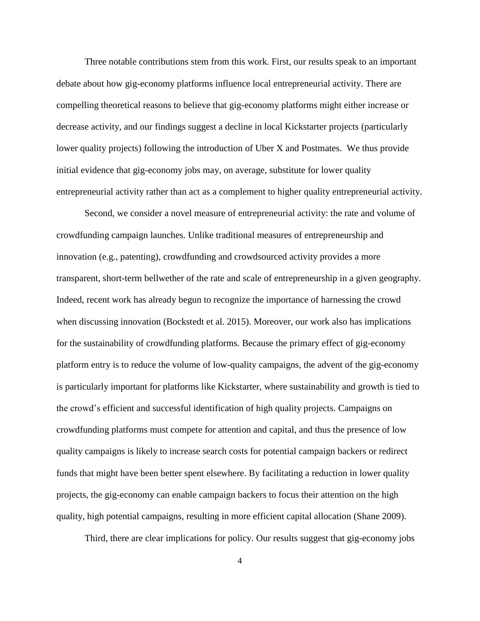Three notable contributions stem from this work. First, our results speak to an important debate about how gig-economy platforms influence local entrepreneurial activity. There are compelling theoretical reasons to believe that gig-economy platforms might either increase or decrease activity, and our findings suggest a decline in local Kickstarter projects (particularly lower quality projects) following the introduction of Uber X and Postmates. We thus provide initial evidence that gig-economy jobs may, on average, substitute for lower quality entrepreneurial activity rather than act as a complement to higher quality entrepreneurial activity.

Second, we consider a novel measure of entrepreneurial activity: the rate and volume of crowdfunding campaign launches. Unlike traditional measures of entrepreneurship and innovation (e.g., patenting), crowdfunding and crowdsourced activity provides a more transparent, short-term bellwether of the rate and scale of entrepreneurship in a given geography. Indeed, recent work has already begun to recognize the importance of harnessing the crowd when discussing innovation (Bockstedt et al. 2015). Moreover, our work also has implications for the sustainability of crowdfunding platforms. Because the primary effect of gig-economy platform entry is to reduce the volume of low-quality campaigns, the advent of the gig-economy is particularly important for platforms like Kickstarter, where sustainability and growth is tied to the crowd's efficient and successful identification of high quality projects. Campaigns on crowdfunding platforms must compete for attention and capital, and thus the presence of low quality campaigns is likely to increase search costs for potential campaign backers or redirect funds that might have been better spent elsewhere. By facilitating a reduction in lower quality projects, the gig-economy can enable campaign backers to focus their attention on the high quality, high potential campaigns, resulting in more efficient capital allocation (Shane 2009).

Third, there are clear implications for policy. Our results suggest that gig-economy jobs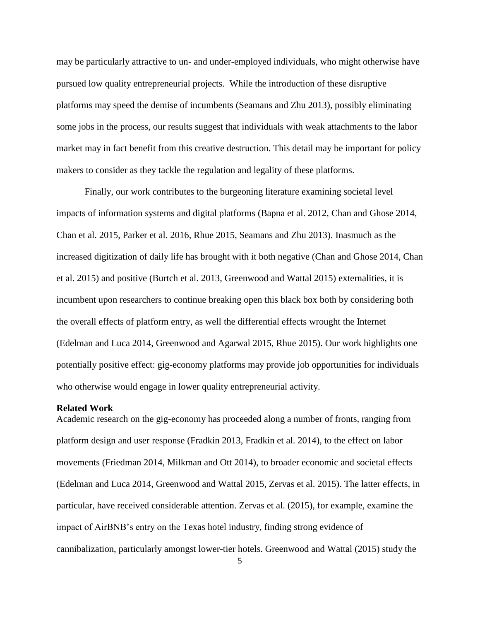may be particularly attractive to un- and under-employed individuals, who might otherwise have pursued low quality entrepreneurial projects. While the introduction of these disruptive platforms may speed the demise of incumbents (Seamans and Zhu 2013), possibly eliminating some jobs in the process, our results suggest that individuals with weak attachments to the labor market may in fact benefit from this creative destruction. This detail may be important for policy makers to consider as they tackle the regulation and legality of these platforms.

Finally, our work contributes to the burgeoning literature examining societal level impacts of information systems and digital platforms (Bapna et al. 2012, Chan and Ghose 2014, Chan et al. 2015, Parker et al. 2016, Rhue 2015, Seamans and Zhu 2013). Inasmuch as the increased digitization of daily life has brought with it both negative (Chan and Ghose 2014, Chan et al. 2015) and positive (Burtch et al. 2013, Greenwood and Wattal 2015) externalities, it is incumbent upon researchers to continue breaking open this black box both by considering both the overall effects of platform entry, as well the differential effects wrought the Internet (Edelman and Luca 2014, Greenwood and Agarwal 2015, Rhue 2015). Our work highlights one potentially positive effect: gig-economy platforms may provide job opportunities for individuals who otherwise would engage in lower quality entrepreneurial activity.

#### **Related Work**

Academic research on the gig-economy has proceeded along a number of fronts, ranging from platform design and user response (Fradkin 2013, Fradkin et al. 2014), to the effect on labor movements (Friedman 2014, Milkman and Ott 2014), to broader economic and societal effects (Edelman and Luca 2014, Greenwood and Wattal 2015, Zervas et al. 2015). The latter effects, in particular, have received considerable attention. Zervas et al. (2015), for example, examine the impact of AirBNB's entry on the Texas hotel industry, finding strong evidence of cannibalization, particularly amongst lower-tier hotels. Greenwood and Wattal (2015) study the

5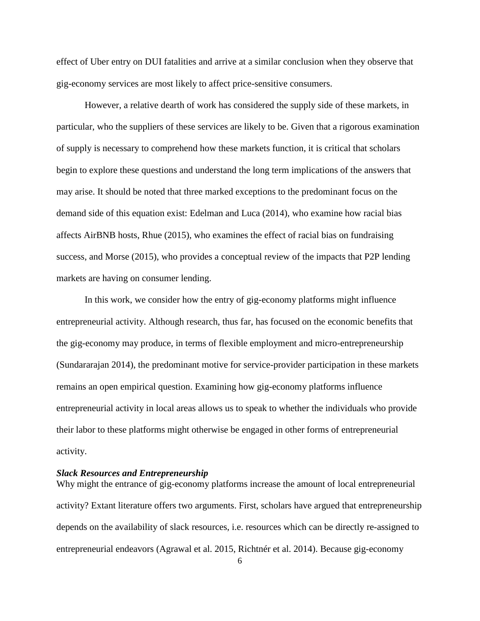effect of Uber entry on DUI fatalities and arrive at a similar conclusion when they observe that gig-economy services are most likely to affect price-sensitive consumers.

However, a relative dearth of work has considered the supply side of these markets, in particular, who the suppliers of these services are likely to be. Given that a rigorous examination of supply is necessary to comprehend how these markets function, it is critical that scholars begin to explore these questions and understand the long term implications of the answers that may arise. It should be noted that three marked exceptions to the predominant focus on the demand side of this equation exist: Edelman and Luca (2014), who examine how racial bias affects AirBNB hosts, Rhue (2015), who examines the effect of racial bias on fundraising success, and Morse (2015), who provides a conceptual review of the impacts that P2P lending markets are having on consumer lending.

In this work, we consider how the entry of gig-economy platforms might influence entrepreneurial activity. Although research, thus far, has focused on the economic benefits that the gig-economy may produce, in terms of flexible employment and micro-entrepreneurship (Sundararajan 2014), the predominant motive for service-provider participation in these markets remains an open empirical question. Examining how gig-economy platforms influence entrepreneurial activity in local areas allows us to speak to whether the individuals who provide their labor to these platforms might otherwise be engaged in other forms of entrepreneurial activity.

# *Slack Resources and Entrepreneurship*

Why might the entrance of gig-economy platforms increase the amount of local entrepreneurial activity? Extant literature offers two arguments. First, scholars have argued that entrepreneurship depends on the availability of slack resources, i.e. resources which can be directly re-assigned to entrepreneurial endeavors (Agrawal et al. 2015, Richtnér et al. 2014). Because gig-economy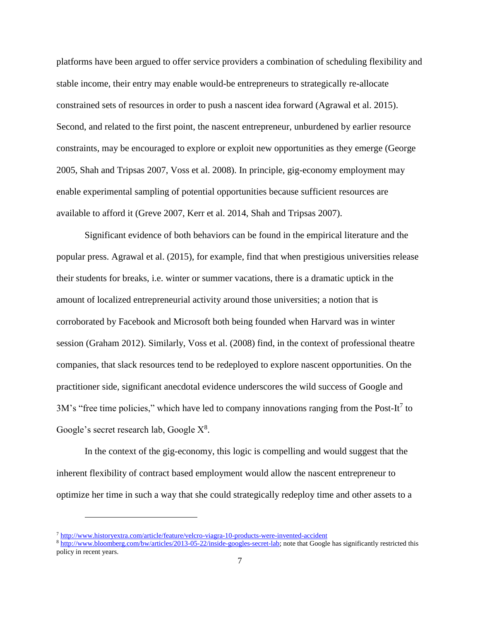platforms have been argued to offer service providers a combination of scheduling flexibility and stable income, their entry may enable would-be entrepreneurs to strategically re-allocate constrained sets of resources in order to push a nascent idea forward (Agrawal et al. 2015). Second, and related to the first point, the nascent entrepreneur, unburdened by earlier resource constraints, may be encouraged to explore or exploit new opportunities as they emerge (George 2005, Shah and Tripsas 2007, Voss et al. 2008). In principle, gig-economy employment may enable experimental sampling of potential opportunities because sufficient resources are available to afford it (Greve 2007, Kerr et al. 2014, Shah and Tripsas 2007).

Significant evidence of both behaviors can be found in the empirical literature and the popular press. Agrawal et al. (2015), for example, find that when prestigious universities release their students for breaks, i.e. winter or summer vacations, there is a dramatic uptick in the amount of localized entrepreneurial activity around those universities; a notion that is corroborated by Facebook and Microsoft both being founded when Harvard was in winter session (Graham 2012). Similarly, Voss et al. (2008) find, in the context of professional theatre companies, that slack resources tend to be redeployed to explore nascent opportunities. On the practitioner side, significant anecdotal evidence underscores the wild success of Google and 3M's "free time policies," which have led to company innovations ranging from the Post-It<sup>7</sup> to Google's secret research lab, Google  $X^8$ .

In the context of the gig-economy, this logic is compelling and would suggest that the inherent flexibility of contract based employment would allow the nascent entrepreneur to optimize her time in such a way that she could strategically redeploy time and other assets to a

 $\overline{\phantom{a}}$ 

<sup>7</sup> <http://www.historyextra.com/article/feature/velcro-viagra-10-products-were-invented-accident>

<sup>8</sup> [http://www.bloomberg.com/bw/articles/2013-05-22/inside-googles-secret-lab;](http://www.bloomberg.com/bw/articles/2013-05-22/inside-googles-secret-lab) note that Google has significantly restricted this policy in recent years.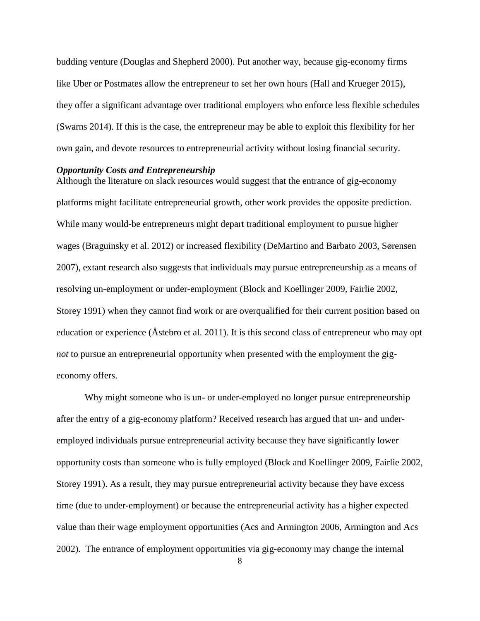budding venture (Douglas and Shepherd 2000). Put another way, because gig-economy firms like Uber or Postmates allow the entrepreneur to set her own hours (Hall and Krueger 2015), they offer a significant advantage over traditional employers who enforce less flexible schedules (Swarns 2014). If this is the case, the entrepreneur may be able to exploit this flexibility for her own gain, and devote resources to entrepreneurial activity without losing financial security.

#### *Opportunity Costs and Entrepreneurship*

Although the literature on slack resources would suggest that the entrance of gig-economy platforms might facilitate entrepreneurial growth, other work provides the opposite prediction. While many would-be entrepreneurs might depart traditional employment to pursue higher wages (Braguinsky et al. 2012) or increased flexibility (DeMartino and Barbato 2003, Sørensen 2007), extant research also suggests that individuals may pursue entrepreneurship as a means of resolving un-employment or under-employment (Block and Koellinger 2009, Fairlie 2002, Storey 1991) when they cannot find work or are overqualified for their current position based on education or experience (Åstebro et al. 2011). It is this second class of entrepreneur who may opt *not* to pursue an entrepreneurial opportunity when presented with the employment the gigeconomy offers.

Why might someone who is un- or under-employed no longer pursue entrepreneurship after the entry of a gig-economy platform? Received research has argued that un- and underemployed individuals pursue entrepreneurial activity because they have significantly lower opportunity costs than someone who is fully employed (Block and Koellinger 2009, Fairlie 2002, Storey 1991). As a result, they may pursue entrepreneurial activity because they have excess time (due to under-employment) or because the entrepreneurial activity has a higher expected value than their wage employment opportunities (Acs and Armington 2006, Armington and Acs 2002). The entrance of employment opportunities via gig-economy may change the internal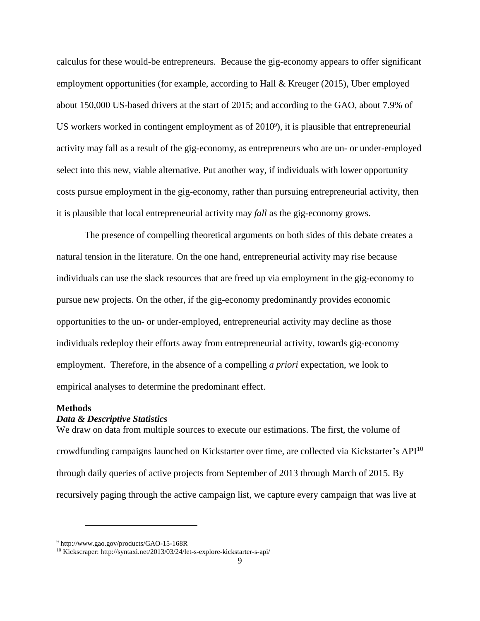calculus for these would-be entrepreneurs. Because the gig-economy appears to offer significant employment opportunities (for example, according to Hall & Kreuger (2015), Uber employed about 150,000 US-based drivers at the start of 2015; and according to the GAO, about 7.9% of US workers worked in contingent employment as of  $2010^{\circ}$ , it is plausible that entrepreneurial activity may fall as a result of the gig-economy, as entrepreneurs who are un- or under-employed select into this new, viable alternative. Put another way, if individuals with lower opportunity costs pursue employment in the gig-economy, rather than pursuing entrepreneurial activity, then it is plausible that local entrepreneurial activity may *fall* as the gig-economy grows.

The presence of compelling theoretical arguments on both sides of this debate creates a natural tension in the literature. On the one hand, entrepreneurial activity may rise because individuals can use the slack resources that are freed up via employment in the gig-economy to pursue new projects. On the other, if the gig-economy predominantly provides economic opportunities to the un- or under-employed, entrepreneurial activity may decline as those individuals redeploy their efforts away from entrepreneurial activity, towards gig-economy employment. Therefore, in the absence of a compelling *a priori* expectation, we look to empirical analyses to determine the predominant effect.

#### **Methods**

l

# *Data & Descriptive Statistics*

We draw on data from multiple sources to execute our estimations. The first, the volume of crowdfunding campaigns launched on Kickstarter over time, are collected via Kickstarter's API<sup>10</sup> through daily queries of active projects from September of 2013 through March of 2015. By recursively paging through the active campaign list, we capture every campaign that was live at

<sup>9</sup> http://www.gao.gov/products/GAO-15-168R

<sup>10</sup> Kickscraper: http://syntaxi.net/2013/03/24/let-s-explore-kickstarter-s-api/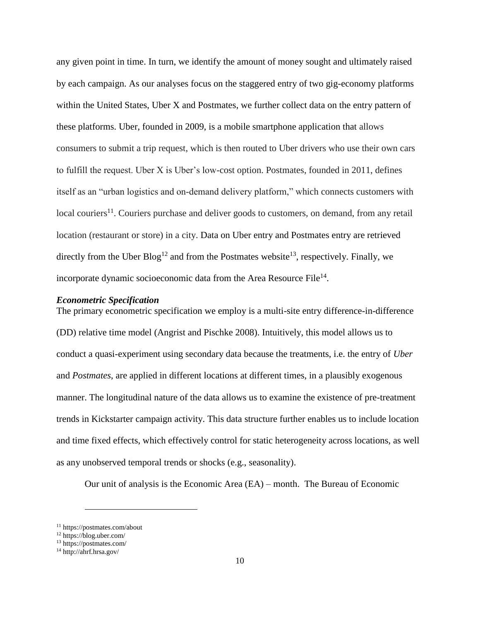any given point in time. In turn, we identify the amount of money sought and ultimately raised by each campaign. As our analyses focus on the staggered entry of two gig-economy platforms within the United States, Uber X and Postmates, we further collect data on the entry pattern of these platforms. Uber, founded in 2009, is a mobile smartphone application that allows consumers to submit a trip request, which is then routed to Uber drivers who use their own cars to fulfill the request. Uber X is Uber's low-cost option. Postmates, founded in 2011, defines itself as an "urban logistics and on-demand delivery platform," which connects customers with  $\alpha$ local couriers<sup>11</sup>. Couriers purchase and deliver goods to customers, on demand, from any retail location (restaurant or store) in a city. Data on Uber entry and Postmates entry are retrieved directly from the Uber  $B\log^{12}$  and from the Postmates website<sup>13</sup>, respectively. Finally, we incorporate dynamic socioeconomic data from the Area Resource File $^{14}$ .

#### *Econometric Specification*

The primary econometric specification we employ is a multi-site entry difference-in-difference (DD) relative time model (Angrist and Pischke 2008). Intuitively, this model allows us to conduct a quasi-experiment using secondary data because the treatments, i.e. the entry of *Uber* and *Postmates*, are applied in different locations at different times, in a plausibly exogenous manner. The longitudinal nature of the data allows us to examine the existence of pre-treatment trends in Kickstarter campaign activity. This data structure further enables us to include location and time fixed effects, which effectively control for static heterogeneity across locations, as well as any unobserved temporal trends or shocks (e.g., seasonality).

Our unit of analysis is the Economic Area (EA) – month. The Bureau of Economic

l

<sup>11</sup> https://postmates.com/about

<sup>12</sup> https://blog.uber.com/

<sup>13</sup> https://postmates.com/

<sup>14</sup> http://ahrf.hrsa.gov/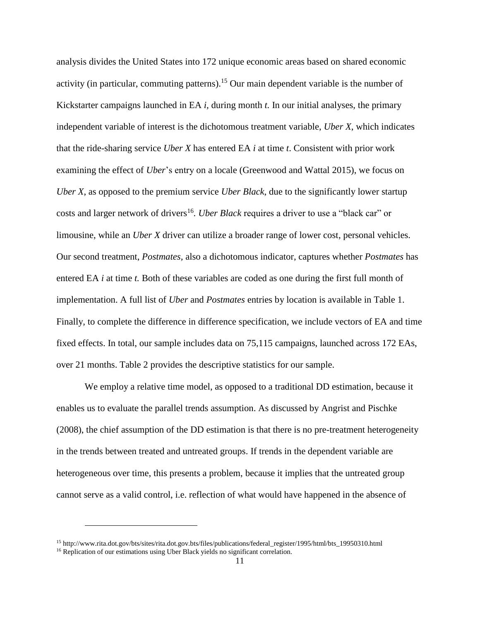analysis divides the United States into 172 unique economic areas based on shared economic activity (in particular, commuting patterns).<sup>15</sup> Our main dependent variable is the number of Kickstarter campaigns launched in EA *i,* during month *t.* In our initial analyses, the primary independent variable of interest is the dichotomous treatment variable, *Uber X*, which indicates that the ride-sharing service *Uber X* has entered EA *i* at time *t*. Consistent with prior work examining the effect of *Uber*'s entry on a locale (Greenwood and Wattal 2015), we focus on *Uber X*, as opposed to the premium service *Uber Black*, due to the significantly lower startup costs and larger network of drivers<sup>16</sup>. *Uber Black* requires a driver to use a "black car" or limousine, while an *Uber X* driver can utilize a broader range of lower cost, personal vehicles. Our second treatment, *Postmates,* also a dichotomous indicator, captures whether *Postmates* has entered EA *i* at time *t.* Both of these variables are coded as one during the first full month of implementation. A full list of *Uber* and *Postmates* entries by location is available in Table 1. Finally, to complete the difference in difference specification, we include vectors of EA and time fixed effects. In total, our sample includes data on 75,115 campaigns, launched across 172 EAs, over 21 months. Table 2 provides the descriptive statistics for our sample.

We employ a relative time model, as opposed to a traditional DD estimation, because it enables us to evaluate the parallel trends assumption. As discussed by Angrist and Pischke (2008), the chief assumption of the DD estimation is that there is no pre-treatment heterogeneity in the trends between treated and untreated groups. If trends in the dependent variable are heterogeneous over time, this presents a problem, because it implies that the untreated group cannot serve as a valid control, i.e. reflection of what would have happened in the absence of

l

<sup>15</sup> http://www.rita.dot.gov/bts/sites/rita.dot.gov.bts/files/publications/federal\_register/1995/html/bts\_19950310.html

<sup>&</sup>lt;sup>16</sup> Replication of our estimations using Uber Black yields no significant correlation.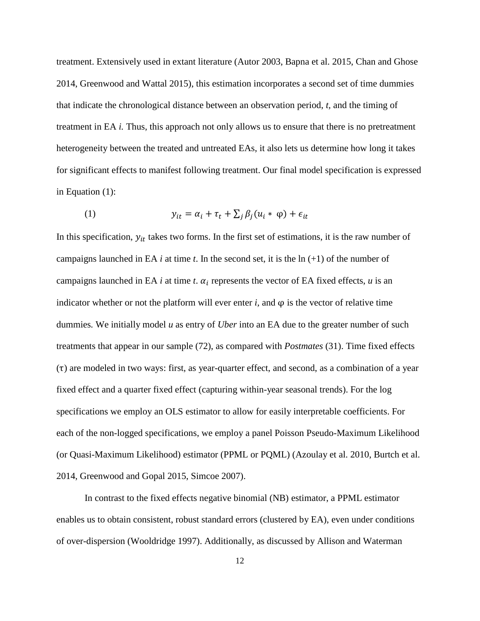treatment. Extensively used in extant literature (Autor 2003, Bapna et al. 2015, Chan and Ghose 2014, Greenwood and Wattal 2015), this estimation incorporates a second set of time dummies that indicate the chronological distance between an observation period, *t,* and the timing of treatment in EA *i.* Thus, this approach not only allows us to ensure that there is no pretreatment heterogeneity between the treated and untreated EAs, it also lets us determine how long it takes for significant effects to manifest following treatment. Our final model specification is expressed in Equation (1):

(1) 
$$
y_{it} = \alpha_i + \tau_t + \sum_j \beta_j (u_i * \varphi) + \epsilon_{it}
$$

In this specification,  $y_{it}$  takes two forms. In the first set of estimations, it is the raw number of campaigns launched in EA  $i$  at time  $t$ . In the second set, it is the  $\ln (+1)$  of the number of campaigns launched in EA  $i$  at time  $t$ .  $\alpha_i$  represents the vector of EA fixed effects,  $u$  is an indicator whether or not the platform will ever enter  $i$ , and  $\varphi$  is the vector of relative time dummies*.* We initially model *u* as entry of *Uber* into an EA due to the greater number of such treatments that appear in our sample (72), as compared with *Postmates* (31). Time fixed effects (τ) are modeled in two ways: first, as year-quarter effect, and second, as a combination of a year fixed effect and a quarter fixed effect (capturing within-year seasonal trends). For the log specifications we employ an OLS estimator to allow for easily interpretable coefficients. For each of the non-logged specifications, we employ a panel Poisson Pseudo-Maximum Likelihood (or Quasi-Maximum Likelihood) estimator (PPML or PQML) (Azoulay et al. 2010, Burtch et al. 2014, Greenwood and Gopal 2015, Simcoe 2007).

In contrast to the fixed effects negative binomial (NB) estimator, a PPML estimator enables us to obtain consistent, robust standard errors (clustered by EA), even under conditions of over-dispersion (Wooldridge 1997). Additionally, as discussed by Allison and Waterman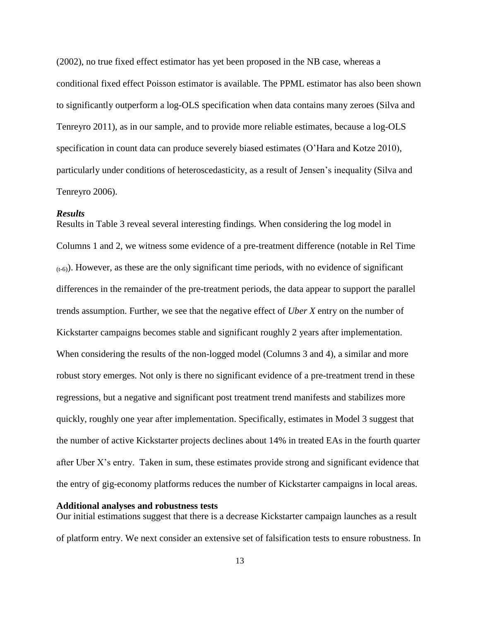(2002), no true fixed effect estimator has yet been proposed in the NB case, whereas a conditional fixed effect Poisson estimator is available. The PPML estimator has also been shown to significantly outperform a log-OLS specification when data contains many zeroes (Silva and Tenreyro 2011), as in our sample, and to provide more reliable estimates, because a log-OLS specification in count data can produce severely biased estimates (O'Hara and Kotze 2010), particularly under conditions of heteroscedasticity, as a result of Jensen's inequality (Silva and Tenreyro 2006).

#### *Results*

Results in Table 3 reveal several interesting findings. When considering the log model in Columns 1 and 2, we witness some evidence of a pre-treatment difference (notable in Rel Time  $(t-6)$ ). However, as these are the only significant time periods, with no evidence of significant differences in the remainder of the pre-treatment periods, the data appear to support the parallel trends assumption. Further, we see that the negative effect of *Uber X* entry on the number of Kickstarter campaigns becomes stable and significant roughly 2 years after implementation. When considering the results of the non-logged model (Columns 3 and 4), a similar and more robust story emerges. Not only is there no significant evidence of a pre-treatment trend in these regressions, but a negative and significant post treatment trend manifests and stabilizes more quickly, roughly one year after implementation. Specifically, estimates in Model 3 suggest that the number of active Kickstarter projects declines about 14% in treated EAs in the fourth quarter after Uber X's entry. Taken in sum, these estimates provide strong and significant evidence that the entry of gig-economy platforms reduces the number of Kickstarter campaigns in local areas.

#### **Additional analyses and robustness tests**

Our initial estimations suggest that there is a decrease Kickstarter campaign launches as a result of platform entry. We next consider an extensive set of falsification tests to ensure robustness. In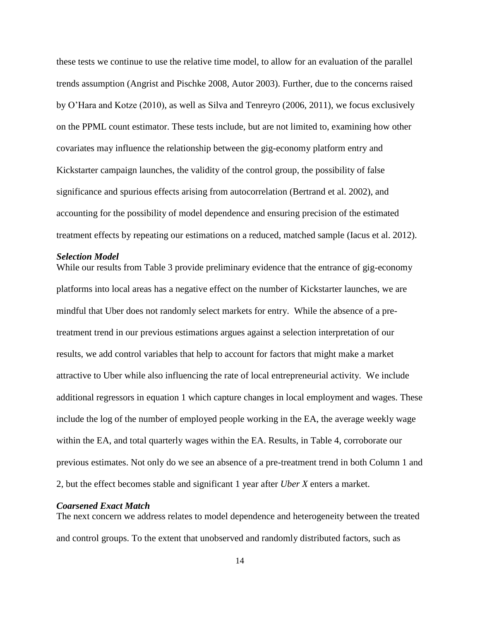these tests we continue to use the relative time model, to allow for an evaluation of the parallel trends assumption (Angrist and Pischke 2008, Autor 2003). Further, due to the concerns raised by O'Hara and Kotze (2010), as well as Silva and Tenreyro (2006, 2011), we focus exclusively on the PPML count estimator. These tests include, but are not limited to, examining how other covariates may influence the relationship between the gig-economy platform entry and Kickstarter campaign launches, the validity of the control group, the possibility of false significance and spurious effects arising from autocorrelation (Bertrand et al. 2002), and accounting for the possibility of model dependence and ensuring precision of the estimated treatment effects by repeating our estimations on a reduced, matched sample (Iacus et al. 2012).

# *Selection Model*

While our results from Table 3 provide preliminary evidence that the entrance of gig-economy platforms into local areas has a negative effect on the number of Kickstarter launches, we are mindful that Uber does not randomly select markets for entry. While the absence of a pretreatment trend in our previous estimations argues against a selection interpretation of our results, we add control variables that help to account for factors that might make a market attractive to Uber while also influencing the rate of local entrepreneurial activity. We include additional regressors in equation 1 which capture changes in local employment and wages. These include the log of the number of employed people working in the EA, the average weekly wage within the EA, and total quarterly wages within the EA. Results, in Table 4, corroborate our previous estimates. Not only do we see an absence of a pre-treatment trend in both Column 1 and 2, but the effect becomes stable and significant 1 year after *Uber X* enters a market.

# *Coarsened Exact Match*

The next concern we address relates to model dependence and heterogeneity between the treated and control groups. To the extent that unobserved and randomly distributed factors, such as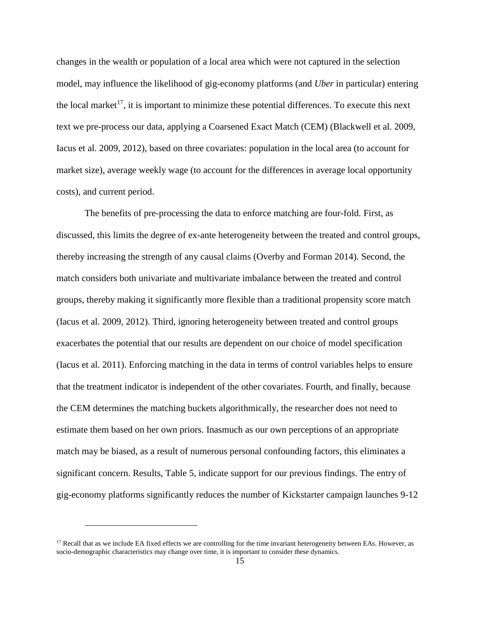changes in the wealth or population of a local area which were not captured in the selection model, may influence the likelihood of gig-economy platforms (and *Uber* in particular) entering the local market<sup>17</sup>, it is important to minimize these potential differences. To execute this next text we pre-process our data, applying a Coarsened Exact Match (CEM) (Blackwell et al. 2009, Iacus et al. 2009, 2012), based on three covariates: population in the local area (to account for market size), average weekly wage (to account for the differences in average local opportunity costs), and current period.

The benefits of pre-processing the data to enforce matching are four-fold. First, as discussed, this limits the degree of ex-ante heterogeneity between the treated and control groups, thereby increasing the strength of any causal claims (Overby and Forman 2014). Second, the match considers both univariate and multivariate imbalance between the treated and control groups, thereby making it significantly more flexible than a traditional propensity score match (Iacus et al. 2009, 2012). Third, ignoring heterogeneity between treated and control groups exacerbates the potential that our results are dependent on our choice of model specification (Iacus et al. 2011). Enforcing matching in the data in terms of control variables helps to ensure that the treatment indicator is independent of the other covariates. Fourth, and finally, because the CEM determines the matching buckets algorithmically, the researcher does not need to estimate them based on her own priors. Inasmuch as our own perceptions of an appropriate match may be biased, as a result of numerous personal confounding factors, this eliminates a significant concern. Results, Table 5, indicate support for our previous findings. The entry of gig-economy platforms significantly reduces the number of Kickstarter campaign launches 9-12

l

<sup>&</sup>lt;sup>17</sup> Recall that as we include EA fixed effects we are controlling for the time invariant heterogeneity between EAs. However, as socio-demographic characteristics may change over time, it is important to consider these dynamics.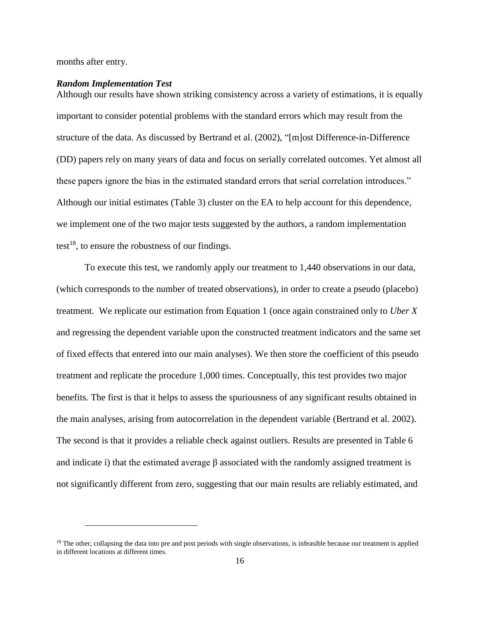months after entry.

l

#### *Random Implementation Test*

Although our results have shown striking consistency across a variety of estimations, it is equally important to consider potential problems with the standard errors which may result from the structure of the data. As discussed by Bertrand et al. (2002), "[m]ost Difference-in-Difference (DD) papers rely on many years of data and focus on serially correlated outcomes. Yet almost all these papers ignore the bias in the estimated standard errors that serial correlation introduces." Although our initial estimates (Table 3) cluster on the EA to help account for this dependence, we implement one of the two major tests suggested by the authors, a random implementation test<sup>18</sup>, to ensure the robustness of our findings.

To execute this test, we randomly apply our treatment to 1,440 observations in our data, (which corresponds to the number of treated observations), in order to create a pseudo (placebo) treatment. We replicate our estimation from Equation 1 (once again constrained only to *Uber X*  and regressing the dependent variable upon the constructed treatment indicators and the same set of fixed effects that entered into our main analyses). We then store the coefficient of this pseudo treatment and replicate the procedure 1,000 times. Conceptually, this test provides two major benefits. The first is that it helps to assess the spuriousness of any significant results obtained in the main analyses, arising from autocorrelation in the dependent variable (Bertrand et al. 2002). The second is that it provides a reliable check against outliers. Results are presented in Table 6 and indicate i) that the estimated average  $\beta$  associated with the randomly assigned treatment is not significantly different from zero, suggesting that our main results are reliably estimated, and

<sup>&</sup>lt;sup>18</sup> The other, collapsing the data into pre and post periods with single observations, is infeasible because our treatment is applied in different locations at different times.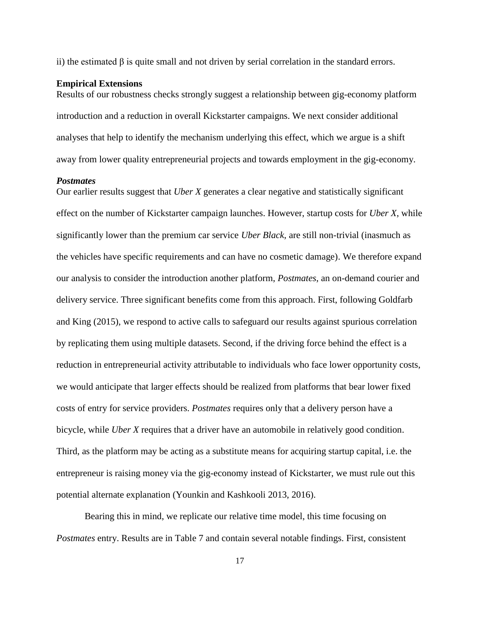ii) the estimated  $\beta$  is quite small and not driven by serial correlation in the standard errors.

## **Empirical Extensions**

Results of our robustness checks strongly suggest a relationship between gig-economy platform introduction and a reduction in overall Kickstarter campaigns. We next consider additional analyses that help to identify the mechanism underlying this effect, which we argue is a shift away from lower quality entrepreneurial projects and towards employment in the gig-economy.

#### *Postmates*

Our earlier results suggest that *Uber X* generates a clear negative and statistically significant effect on the number of Kickstarter campaign launches. However, startup costs for *Uber X*, while significantly lower than the premium car service *Uber Black*, are still non-trivial (inasmuch as the vehicles have specific requirements and can have no cosmetic damage). We therefore expand our analysis to consider the introduction another platform, *Postmates*, an on-demand courier and delivery service. Three significant benefits come from this approach. First, following Goldfarb and King (2015), we respond to active calls to safeguard our results against spurious correlation by replicating them using multiple datasets. Second, if the driving force behind the effect is a reduction in entrepreneurial activity attributable to individuals who face lower opportunity costs, we would anticipate that larger effects should be realized from platforms that bear lower fixed costs of entry for service providers. *Postmates* requires only that a delivery person have a bicycle, while *Uber X* requires that a driver have an automobile in relatively good condition. Third, as the platform may be acting as a substitute means for acquiring startup capital, i.e. the entrepreneur is raising money via the gig-economy instead of Kickstarter, we must rule out this potential alternate explanation (Younkin and Kashkooli 2013, 2016).

Bearing this in mind, we replicate our relative time model, this time focusing on *Postmates* entry. Results are in Table 7 and contain several notable findings. First, consistent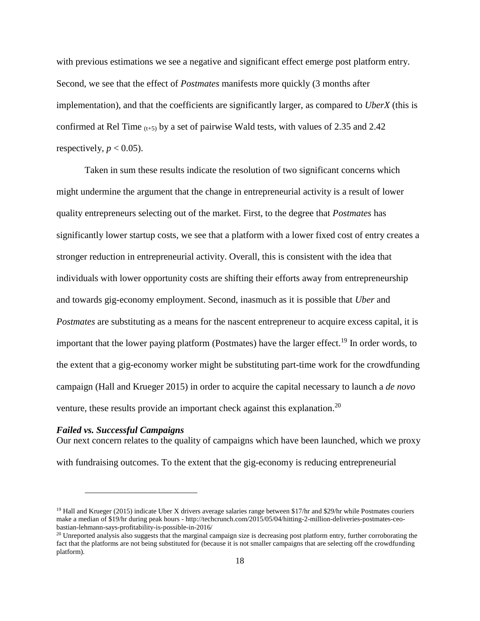with previous estimations we see a negative and significant effect emerge post platform entry. Second, we see that the effect of *Postmates* manifests more quickly (3 months after implementation), and that the coefficients are significantly larger, as compared to *UberX* (this is confirmed at Rel Time  $(t+5)$  by a set of pairwise Wald tests, with values of 2.35 and 2.42 respectively,  $p < 0.05$ ).

Taken in sum these results indicate the resolution of two significant concerns which might undermine the argument that the change in entrepreneurial activity is a result of lower quality entrepreneurs selecting out of the market. First, to the degree that *Postmates* has significantly lower startup costs, we see that a platform with a lower fixed cost of entry creates a stronger reduction in entrepreneurial activity. Overall, this is consistent with the idea that individuals with lower opportunity costs are shifting their efforts away from entrepreneurship and towards gig-economy employment. Second, inasmuch as it is possible that *Uber* and *Postmates* are substituting as a means for the nascent entrepreneur to acquire excess capital, it is important that the lower paying platform (Postmates) have the larger effect.<sup>19</sup> In order words, to the extent that a gig-economy worker might be substituting part-time work for the crowdfunding campaign (Hall and Krueger 2015) in order to acquire the capital necessary to launch a *de novo*  venture, these results provide an important check against this explanation.<sup>20</sup>

# *Failed vs. Successful Campaigns*

 $\overline{\phantom{a}}$ 

Our next concern relates to the quality of campaigns which have been launched, which we proxy with fundraising outcomes. To the extent that the gig-economy is reducing entrepreneurial

 $19$  Hall and Krueger (2015) indicate Uber X drivers average salaries range between \$17/hr and \$29/hr while Postmates couriers make a median of \$19/hr during peak hours - http://techcrunch.com/2015/05/04/hitting-2-million-deliveries-postmates-ceobastian-lehmann-says-profitability-is-possible-in-2016/

<sup>&</sup>lt;sup>20</sup> Unreported analysis also suggests that the marginal campaign size is decreasing post platform entry, further corroborating the fact that the platforms are not being substituted for (because it is not smaller campaigns that are selecting off the crowdfunding platform).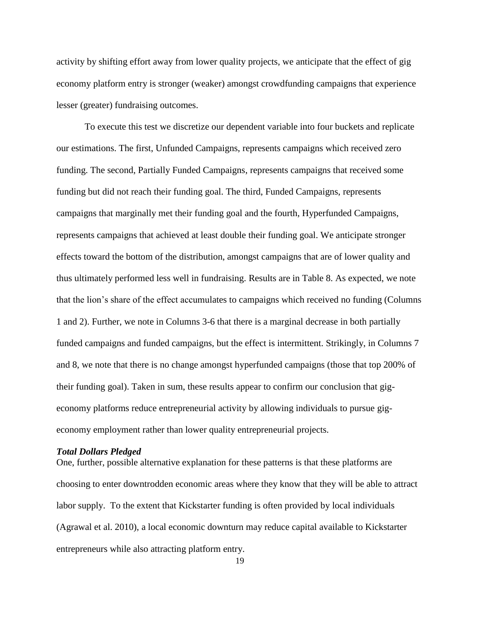activity by shifting effort away from lower quality projects, we anticipate that the effect of gig economy platform entry is stronger (weaker) amongst crowdfunding campaigns that experience lesser (greater) fundraising outcomes.

To execute this test we discretize our dependent variable into four buckets and replicate our estimations. The first, Unfunded Campaigns, represents campaigns which received zero funding. The second, Partially Funded Campaigns, represents campaigns that received some funding but did not reach their funding goal. The third, Funded Campaigns, represents campaigns that marginally met their funding goal and the fourth, Hyperfunded Campaigns, represents campaigns that achieved at least double their funding goal. We anticipate stronger effects toward the bottom of the distribution, amongst campaigns that are of lower quality and thus ultimately performed less well in fundraising. Results are in Table 8. As expected, we note that the lion's share of the effect accumulates to campaigns which received no funding (Columns 1 and 2). Further, we note in Columns 3-6 that there is a marginal decrease in both partially funded campaigns and funded campaigns, but the effect is intermittent. Strikingly, in Columns 7 and 8, we note that there is no change amongst hyperfunded campaigns (those that top 200% of their funding goal). Taken in sum, these results appear to confirm our conclusion that gigeconomy platforms reduce entrepreneurial activity by allowing individuals to pursue gigeconomy employment rather than lower quality entrepreneurial projects.

#### *Total Dollars Pledged*

One, further, possible alternative explanation for these patterns is that these platforms are choosing to enter downtrodden economic areas where they know that they will be able to attract labor supply. To the extent that Kickstarter funding is often provided by local individuals (Agrawal et al. 2010), a local economic downturn may reduce capital available to Kickstarter entrepreneurs while also attracting platform entry.

19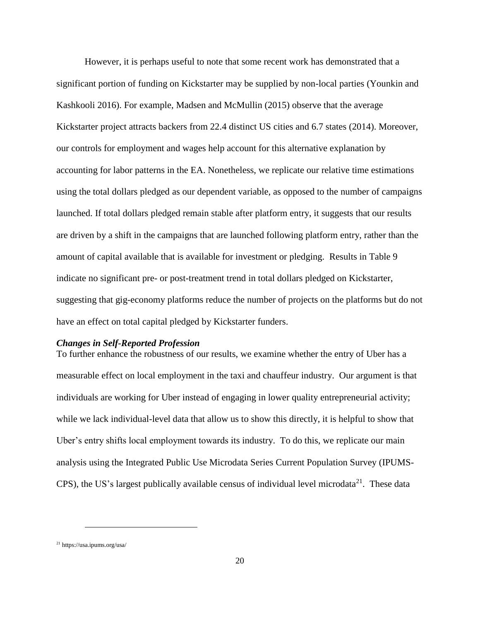However, it is perhaps useful to note that some recent work has demonstrated that a significant portion of funding on Kickstarter may be supplied by non-local parties (Younkin and Kashkooli 2016). For example, Madsen and McMullin (2015) observe that the average Kickstarter project attracts backers from 22.4 distinct US cities and 6.7 states (2014). Moreover, our controls for employment and wages help account for this alternative explanation by accounting for labor patterns in the EA. Nonetheless, we replicate our relative time estimations using the total dollars pledged as our dependent variable, as opposed to the number of campaigns launched. If total dollars pledged remain stable after platform entry, it suggests that our results are driven by a shift in the campaigns that are launched following platform entry, rather than the amount of capital available that is available for investment or pledging. Results in Table 9 indicate no significant pre- or post-treatment trend in total dollars pledged on Kickstarter, suggesting that gig-economy platforms reduce the number of projects on the platforms but do not have an effect on total capital pledged by Kickstarter funders.

# *Changes in Self-Reported Profession*

To further enhance the robustness of our results, we examine whether the entry of Uber has a measurable effect on local employment in the taxi and chauffeur industry. Our argument is that individuals are working for Uber instead of engaging in lower quality entrepreneurial activity; while we lack individual-level data that allow us to show this directly, it is helpful to show that Uber's entry shifts local employment towards its industry. To do this, we replicate our main analysis using the Integrated Public Use Microdata Series Current Population Survey (IPUMS-CPS), the US's largest publically available census of individual level microdata $^{21}$ . These data

l

<sup>21</sup> https://usa.ipums.org/usa/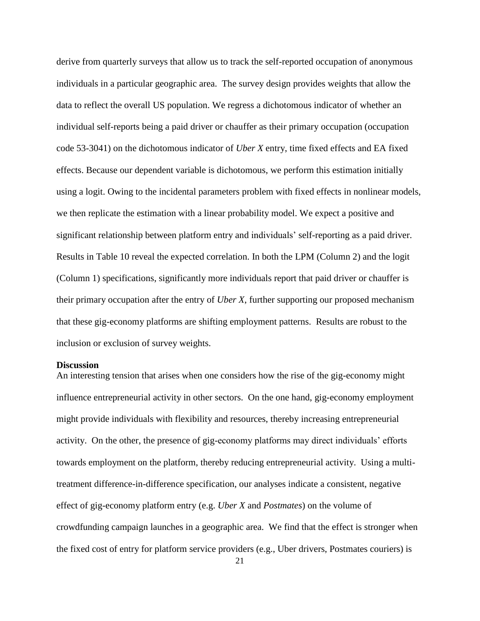derive from quarterly surveys that allow us to track the self-reported occupation of anonymous individuals in a particular geographic area. The survey design provides weights that allow the data to reflect the overall US population. We regress a dichotomous indicator of whether an individual self-reports being a paid driver or chauffer as their primary occupation (occupation code 53-3041) on the dichotomous indicator of *Uber X* entry, time fixed effects and EA fixed effects. Because our dependent variable is dichotomous, we perform this estimation initially using a logit. Owing to the incidental parameters problem with fixed effects in nonlinear models, we then replicate the estimation with a linear probability model. We expect a positive and significant relationship between platform entry and individuals' self-reporting as a paid driver. Results in Table 10 reveal the expected correlation. In both the LPM (Column 2) and the logit (Column 1) specifications, significantly more individuals report that paid driver or chauffer is their primary occupation after the entry of *Uber X*, further supporting our proposed mechanism that these gig-economy platforms are shifting employment patterns. Results are robust to the inclusion or exclusion of survey weights.

#### **Discussion**

An interesting tension that arises when one considers how the rise of the gig-economy might influence entrepreneurial activity in other sectors. On the one hand, gig-economy employment might provide individuals with flexibility and resources, thereby increasing entrepreneurial activity. On the other, the presence of gig-economy platforms may direct individuals' efforts towards employment on the platform, thereby reducing entrepreneurial activity. Using a multitreatment difference-in-difference specification, our analyses indicate a consistent, negative effect of gig-economy platform entry (e.g. *Uber X* and *Postmates*) on the volume of crowdfunding campaign launches in a geographic area. We find that the effect is stronger when the fixed cost of entry for platform service providers (e.g., Uber drivers, Postmates couriers) is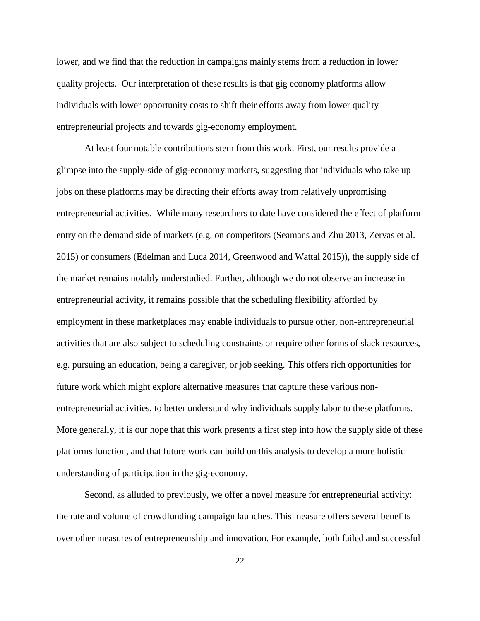lower, and we find that the reduction in campaigns mainly stems from a reduction in lower quality projects. Our interpretation of these results is that gig economy platforms allow individuals with lower opportunity costs to shift their efforts away from lower quality entrepreneurial projects and towards gig-economy employment.

At least four notable contributions stem from this work. First, our results provide a glimpse into the supply-side of gig-economy markets, suggesting that individuals who take up jobs on these platforms may be directing their efforts away from relatively unpromising entrepreneurial activities. While many researchers to date have considered the effect of platform entry on the demand side of markets (e.g. on competitors (Seamans and Zhu 2013, Zervas et al. 2015) or consumers (Edelman and Luca 2014, Greenwood and Wattal 2015)), the supply side of the market remains notably understudied. Further, although we do not observe an increase in entrepreneurial activity, it remains possible that the scheduling flexibility afforded by employment in these marketplaces may enable individuals to pursue other, non-entrepreneurial activities that are also subject to scheduling constraints or require other forms of slack resources, e.g. pursuing an education, being a caregiver, or job seeking. This offers rich opportunities for future work which might explore alternative measures that capture these various nonentrepreneurial activities, to better understand why individuals supply labor to these platforms. More generally, it is our hope that this work presents a first step into how the supply side of these platforms function, and that future work can build on this analysis to develop a more holistic understanding of participation in the gig-economy.

Second, as alluded to previously, we offer a novel measure for entrepreneurial activity: the rate and volume of crowdfunding campaign launches. This measure offers several benefits over other measures of entrepreneurship and innovation. For example, both failed and successful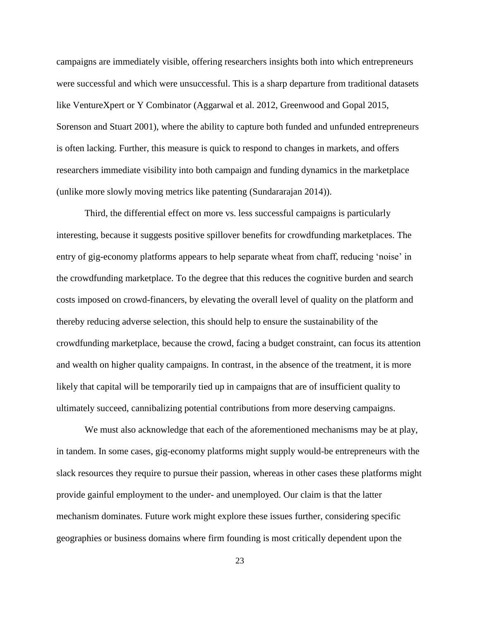campaigns are immediately visible, offering researchers insights both into which entrepreneurs were successful and which were unsuccessful. This is a sharp departure from traditional datasets like VentureXpert or Y Combinator (Aggarwal et al. 2012, Greenwood and Gopal 2015, Sorenson and Stuart 2001), where the ability to capture both funded and unfunded entrepreneurs is often lacking. Further, this measure is quick to respond to changes in markets, and offers researchers immediate visibility into both campaign and funding dynamics in the marketplace (unlike more slowly moving metrics like patenting (Sundararajan 2014)).

Third, the differential effect on more vs. less successful campaigns is particularly interesting, because it suggests positive spillover benefits for crowdfunding marketplaces. The entry of gig-economy platforms appears to help separate wheat from chaff, reducing 'noise' in the crowdfunding marketplace. To the degree that this reduces the cognitive burden and search costs imposed on crowd-financers, by elevating the overall level of quality on the platform and thereby reducing adverse selection, this should help to ensure the sustainability of the crowdfunding marketplace, because the crowd, facing a budget constraint, can focus its attention and wealth on higher quality campaigns. In contrast, in the absence of the treatment, it is more likely that capital will be temporarily tied up in campaigns that are of insufficient quality to ultimately succeed, cannibalizing potential contributions from more deserving campaigns.

We must also acknowledge that each of the aforementioned mechanisms may be at play, in tandem. In some cases, gig-economy platforms might supply would-be entrepreneurs with the slack resources they require to pursue their passion, whereas in other cases these platforms might provide gainful employment to the under- and unemployed. Our claim is that the latter mechanism dominates. Future work might explore these issues further, considering specific geographies or business domains where firm founding is most critically dependent upon the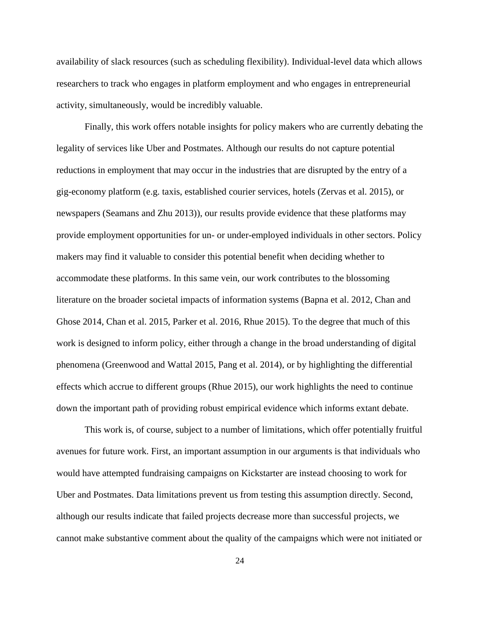availability of slack resources (such as scheduling flexibility). Individual-level data which allows researchers to track who engages in platform employment and who engages in entrepreneurial activity, simultaneously, would be incredibly valuable.

Finally, this work offers notable insights for policy makers who are currently debating the legality of services like Uber and Postmates. Although our results do not capture potential reductions in employment that may occur in the industries that are disrupted by the entry of a gig-economy platform (e.g. taxis, established courier services, hotels (Zervas et al. 2015), or newspapers (Seamans and Zhu 2013)), our results provide evidence that these platforms may provide employment opportunities for un- or under-employed individuals in other sectors. Policy makers may find it valuable to consider this potential benefit when deciding whether to accommodate these platforms. In this same vein, our work contributes to the blossoming literature on the broader societal impacts of information systems (Bapna et al. 2012, Chan and Ghose 2014, Chan et al. 2015, Parker et al. 2016, Rhue 2015). To the degree that much of this work is designed to inform policy, either through a change in the broad understanding of digital phenomena (Greenwood and Wattal 2015, Pang et al. 2014), or by highlighting the differential effects which accrue to different groups (Rhue 2015), our work highlights the need to continue down the important path of providing robust empirical evidence which informs extant debate.

This work is, of course, subject to a number of limitations, which offer potentially fruitful avenues for future work. First, an important assumption in our arguments is that individuals who would have attempted fundraising campaigns on Kickstarter are instead choosing to work for Uber and Postmates. Data limitations prevent us from testing this assumption directly. Second, although our results indicate that failed projects decrease more than successful projects, we cannot make substantive comment about the quality of the campaigns which were not initiated or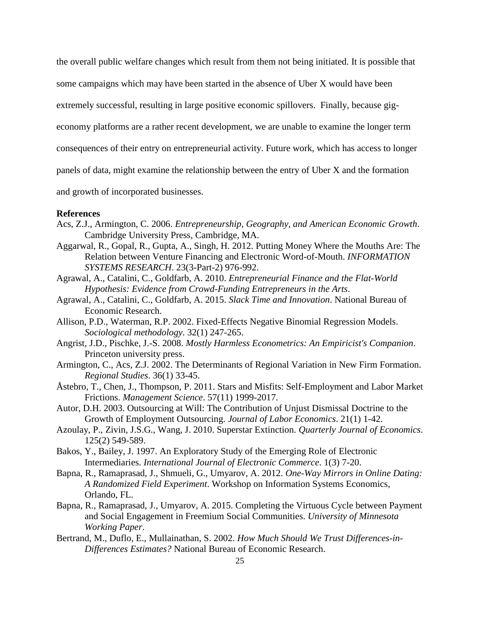the overall public welfare changes which result from them not being initiated. It is possible that some campaigns which may have been started in the absence of Uber X would have been extremely successful, resulting in large positive economic spillovers. Finally, because gigeconomy platforms are a rather recent development, we are unable to examine the longer term consequences of their entry on entrepreneurial activity. Future work, which has access to longer panels of data, might examine the relationship between the entry of Uber X and the formation and growth of incorporated businesses.

#### **References**

- Acs, Z.J., Armington, C. 2006. *Entrepreneurship, Geography, and American Economic Growth*. Cambridge University Press, Cambridge, MA.
- Aggarwal, R., Gopal, R., Gupta, A., Singh, H. 2012. Putting Money Where the Mouths Are: The Relation between Venture Financing and Electronic Word-of-Mouth. *INFORMATION SYSTEMS RESEARCH*. 23(3-Part-2) 976-992.
- Agrawal, A., Catalini, C., Goldfarb, A. 2010. *Entrepreneurial Finance and the Flat-World Hypothesis: Evidence from Crowd-Funding Entrepreneurs in the Arts*.
- Agrawal, A., Catalini, C., Goldfarb, A. 2015. *Slack Time and Innovation*. National Bureau of Economic Research.
- Allison, P.D., Waterman, R.P. 2002. Fixed-Effects Negative Binomial Regression Models. *Sociological methodology*. 32(1) 247-265.
- Angrist, J.D., Pischke, J.-S. 2008. *Mostly Harmless Econometrics: An Empiricist's Companion*. Princeton university press.
- Armington, C., Acs, Z.J. 2002. The Determinants of Regional Variation in New Firm Formation. *Regional Studies*. 36(1) 33-45.
- Åstebro, T., Chen, J., Thompson, P. 2011. Stars and Misfits: Self-Employment and Labor Market Frictions. *Management Science*. 57(11) 1999-2017.
- Autor, D.H. 2003. Outsourcing at Will: The Contribution of Unjust Dismissal Doctrine to the Growth of Employment Outsourcing. *Journal of Labor Economics*. 21(1) 1-42.
- Azoulay, P., Zivin, J.S.G., Wang, J. 2010. Superstar Extinction. *Quarterly Journal of Economics*. 125(2) 549-589.
- Bakos, Y., Bailey, J. 1997. An Exploratory Study of the Emerging Role of Electronic Intermediaries. *International Journal of Electronic Commerce*. 1(3) 7-20.
- Bapna, R., Ramaprasad, J., Shmueli, G., Umyarov, A. 2012. *One-Way Mirrors in Online Dating: A Randomized Field Experiment*. Workshop on Information Systems Economics, Orlando, FL.
- Bapna, R., Ramaprasad, J., Umyarov, A. 2015. Completing the Virtuous Cycle between Payment and Social Engagement in Freemium Social Communities. *University of Minnesota Working Paper*.
- Bertrand, M., Duflo, E., Mullainathan, S. 2002. *How Much Should We Trust Differences-in-Differences Estimates?* National Bureau of Economic Research.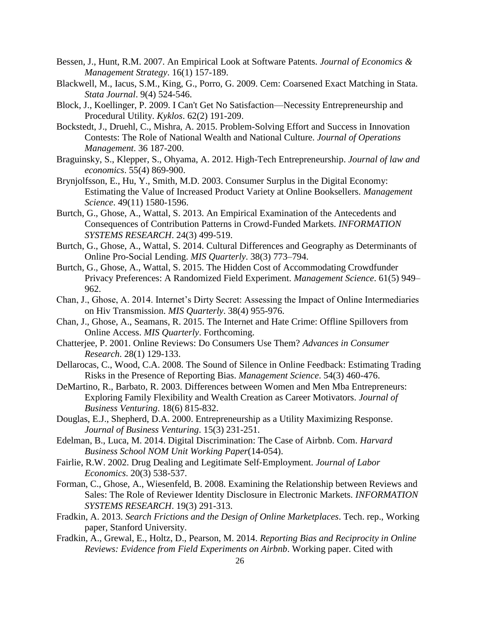- Bessen, J., Hunt, R.M. 2007. An Empirical Look at Software Patents. *Journal of Economics & Management Strategy*. 16(1) 157-189.
- Blackwell, M., Iacus, S.M., King, G., Porro, G. 2009. Cem: Coarsened Exact Matching in Stata. *Stata Journal*. 9(4) 524-546.
- Block, J., Koellinger, P. 2009. I Can't Get No Satisfaction—Necessity Entrepreneurship and Procedural Utility. *Kyklos*. 62(2) 191-209.
- Bockstedt, J., Druehl, C., Mishra, A. 2015. Problem-Solving Effort and Success in Innovation Contests: The Role of National Wealth and National Culture. *Journal of Operations Management*. 36 187-200.
- Braguinsky, S., Klepper, S., Ohyama, A. 2012. High-Tech Entrepreneurship. *Journal of law and economics*. 55(4) 869-900.
- Brynjolfsson, E., Hu, Y., Smith, M.D. 2003. Consumer Surplus in the Digital Economy: Estimating the Value of Increased Product Variety at Online Booksellers. *Management Science*. 49(11) 1580-1596.
- Burtch, G., Ghose, A., Wattal, S. 2013. An Empirical Examination of the Antecedents and Consequences of Contribution Patterns in Crowd-Funded Markets. *INFORMATION SYSTEMS RESEARCH*. 24(3) 499-519.
- Burtch, G., Ghose, A., Wattal, S. 2014. Cultural Differences and Geography as Determinants of Online Pro-Social Lending. *MIS Quarterly*. 38(3) 773–794.
- Burtch, G., Ghose, A., Wattal, S. 2015. The Hidden Cost of Accommodating Crowdfunder Privacy Preferences: A Randomized Field Experiment. *Management Science*. 61(5) 949– 962.
- Chan, J., Ghose, A. 2014. Internet's Dirty Secret: Assessing the Impact of Online Intermediaries on Hiv Transmission. *MIS Quarterly*. 38(4) 955-976.
- Chan, J., Ghose, A., Seamans, R. 2015. The Internet and Hate Crime: Offline Spillovers from Online Access. *MIS Quarterly*. Forthcoming.
- Chatterjee, P. 2001. Online Reviews: Do Consumers Use Them? *Advances in Consumer Research*. 28(1) 129-133.
- Dellarocas, C., Wood, C.A. 2008. The Sound of Silence in Online Feedback: Estimating Trading Risks in the Presence of Reporting Bias. *Management Science*. 54(3) 460-476.
- DeMartino, R., Barbato, R. 2003. Differences between Women and Men Mba Entrepreneurs: Exploring Family Flexibility and Wealth Creation as Career Motivators. *Journal of Business Venturing*. 18(6) 815-832.
- Douglas, E.J., Shepherd, D.A. 2000. Entrepreneurship as a Utility Maximizing Response. *Journal of Business Venturing*. 15(3) 231-251.
- Edelman, B., Luca, M. 2014. Digital Discrimination: The Case of Airbnb. Com. *Harvard Business School NOM Unit Working Paper*(14-054).
- Fairlie, R.W. 2002. Drug Dealing and Legitimate Self‐Employment. *Journal of Labor Economics*. 20(3) 538-537.
- Forman, C., Ghose, A., Wiesenfeld, B. 2008. Examining the Relationship between Reviews and Sales: The Role of Reviewer Identity Disclosure in Electronic Markets. *INFORMATION SYSTEMS RESEARCH*. 19(3) 291-313.
- Fradkin, A. 2013. *Search Frictions and the Design of Online Marketplaces*. Tech. rep., Working paper, Stanford University.
- Fradkin, A., Grewal, E., Holtz, D., Pearson, M. 2014. *Reporting Bias and Reciprocity in Online Reviews: Evidence from Field Experiments on Airbnb*. Working paper. Cited with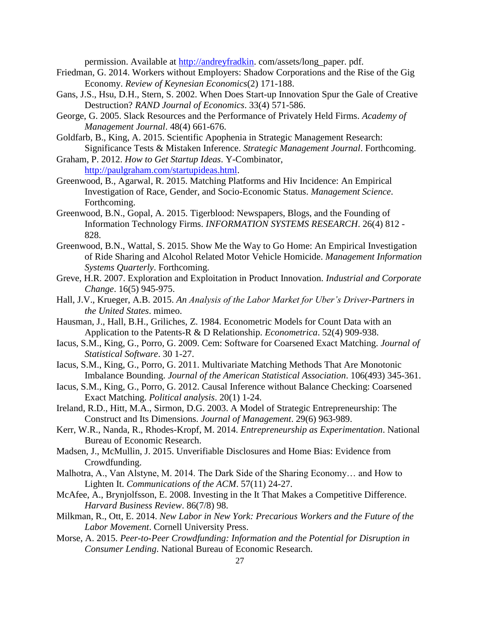permission. Available at [http://andreyfradkin.](http://andreyfradkin/) com/assets/long\_paper. pdf.

- Friedman, G. 2014. Workers without Employers: Shadow Corporations and the Rise of the Gig Economy. *Review of Keynesian Economics*(2) 171-188.
- Gans, J.S., Hsu, D.H., Stern, S. 2002. When Does Start-up Innovation Spur the Gale of Creative Destruction? *RAND Journal of Economics*. 33(4) 571-586.
- George, G. 2005. Slack Resources and the Performance of Privately Held Firms. *Academy of Management Journal*. 48(4) 661-676.
- Goldfarb, B., King, A. 2015. Scientific Apophenia in Strategic Management Research: Significance Tests & Mistaken Inference. *Strategic Management Journal*. Forthcoming.
- Graham, P. 2012. *How to Get Startup Ideas*. Y-Combinator, [http://paulgraham.com/startupideas.html.](http://paulgraham.com/startupideas.html)
- Greenwood, B., Agarwal, R. 2015. Matching Platforms and Hiv Incidence: An Empirical Investigation of Race, Gender, and Socio-Economic Status. *Management Science*. Forthcoming.
- Greenwood, B.N., Gopal, A. 2015. Tigerblood: Newspapers, Blogs, and the Founding of Information Technology Firms. *INFORMATION SYSTEMS RESEARCH*. 26(4) 812 - 828.
- Greenwood, B.N., Wattal, S. 2015. Show Me the Way to Go Home: An Empirical Investigation of Ride Sharing and Alcohol Related Motor Vehicle Homicide. *Management Information Systems Quarterly*. Forthcoming.
- Greve, H.R. 2007. Exploration and Exploitation in Product Innovation. *Industrial and Corporate Change*. 16(5) 945-975.
- Hall, J.V., Krueger, A.B. 2015. *An Analysis of the Labor Market for Uber's Driver-Partners in the United States*. mimeo.
- Hausman, J., Hall, B.H., Griliches, Z. 1984. Econometric Models for Count Data with an Application to the Patents-R & D Relationship. *Econometrica*. 52(4) 909-938.
- Iacus, S.M., King, G., Porro, G. 2009. Cem: Software for Coarsened Exact Matching. *Journal of Statistical Software*. 30 1-27.
- Iacus, S.M., King, G., Porro, G. 2011. Multivariate Matching Methods That Are Monotonic Imbalance Bounding. *Journal of the American Statistical Association*. 106(493) 345-361.
- Iacus, S.M., King, G., Porro, G. 2012. Causal Inference without Balance Checking: Coarsened Exact Matching. *Political analysis*. 20(1) 1-24.
- Ireland, R.D., Hitt, M.A., Sirmon, D.G. 2003. A Model of Strategic Entrepreneurship: The Construct and Its Dimensions. *Journal of Management*. 29(6) 963-989.
- Kerr, W.R., Nanda, R., Rhodes-Kropf, M. 2014. *Entrepreneurship as Experimentation*. National Bureau of Economic Research.
- Madsen, J., McMullin, J. 2015. Unverifiable Disclosures and Home Bias: Evidence from Crowdfunding.
- Malhotra, A., Van Alstyne, M. 2014. The Dark Side of the Sharing Economy… and How to Lighten It. *Communications of the ACM*. 57(11) 24-27.
- McAfee, A., Brynjolfsson, E. 2008. Investing in the It That Makes a Competitive Difference. *Harvard Business Review*. 86(7/8) 98.
- Milkman, R., Ott, E. 2014. *New Labor in New York: Precarious Workers and the Future of the Labor Movement*. Cornell University Press.
- Morse, A. 2015. *Peer-to-Peer Crowdfunding: Information and the Potential for Disruption in Consumer Lending*. National Bureau of Economic Research.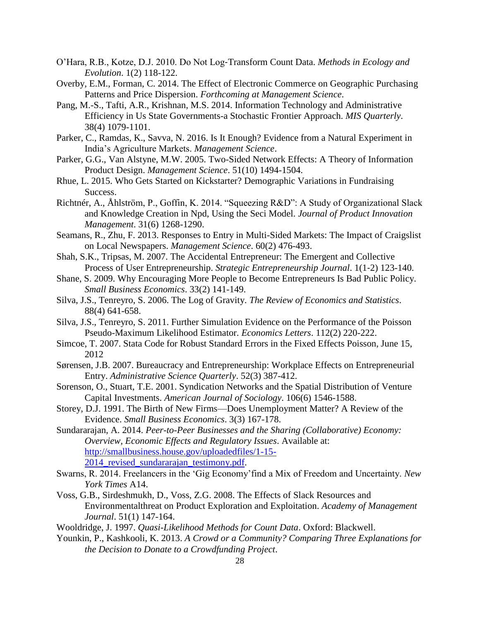- O'Hara, R.B., Kotze, D.J. 2010. Do Not Log‐Transform Count Data. *Methods in Ecology and Evolution*. 1(2) 118-122.
- Overby, E.M., Forman, C. 2014. The Effect of Electronic Commerce on Geographic Purchasing Patterns and Price Dispersion. *Forthcoming at Management Science*.
- Pang, M.-S., Tafti, A.R., Krishnan, M.S. 2014. Information Technology and Administrative Efficiency in Us State Governments-a Stochastic Frontier Approach. *MIS Quarterly*. 38(4) 1079-1101.
- Parker, C., Ramdas, K., Savva, N. 2016. Is It Enough? Evidence from a Natural Experiment in India's Agriculture Markets. *Management Science*.
- Parker, G.G., Van Alstyne, M.W. 2005. Two-Sided Network Effects: A Theory of Information Product Design. *Management Science*. 51(10) 1494-1504.
- Rhue, L. 2015. Who Gets Started on Kickstarter? Demographic Variations in Fundraising Success.
- Richtnér, A., Åhlström, P., Goffin, K. 2014. "Squeezing R&D": A Study of Organizational Slack and Knowledge Creation in Npd, Using the Seci Model. *Journal of Product Innovation Management*. 31(6) 1268-1290.
- Seamans, R., Zhu, F. 2013. Responses to Entry in Multi-Sided Markets: The Impact of Craigslist on Local Newspapers. *Management Science*. 60(2) 476-493.
- Shah, S.K., Tripsas, M. 2007. The Accidental Entrepreneur: The Emergent and Collective Process of User Entrepreneurship. *Strategic Entrepreneurship Journal*. 1(1‐2) 123-140.
- Shane, S. 2009. Why Encouraging More People to Become Entrepreneurs Is Bad Public Policy. *Small Business Economics*. 33(2) 141-149.
- Silva, J.S., Tenreyro, S. 2006. The Log of Gravity. *The Review of Economics and Statistics*. 88(4) 641-658.
- Silva, J.S., Tenreyro, S. 2011. Further Simulation Evidence on the Performance of the Poisson Pseudo-Maximum Likelihood Estimator. *Economics Letters*. 112(2) 220-222.
- Simcoe, T. 2007. Stata Code for Robust Standard Errors in the Fixed Effects Poisson, June 15, 2012
- Sørensen, J.B. 2007. Bureaucracy and Entrepreneurship: Workplace Effects on Entrepreneurial Entry. *Administrative Science Quarterly*. 52(3) 387-412.
- Sorenson, O., Stuart, T.E. 2001. Syndication Networks and the Spatial Distribution of Venture Capital Investments. *American Journal of Sociology*. 106(6) 1546-1588.
- Storey, D.J. 1991. The Birth of New Firms—Does Unemployment Matter? A Review of the Evidence. *Small Business Economics*. 3(3) 167-178.

Sundararajan, A. 2014. *Peer-to-Peer Businesses and the Sharing (Collaborative) Economy: Overview, Economic Effects and Regulatory Issues*. Available at: [http://smallbusiness.house.gov/uploadedfiles/1-15-](http://smallbusiness.house.gov/uploadedfiles/1-15-2014_revised_sundararajan_testimony.pdf) 2014 revised sundararajan testimony.pdf.

- Swarns, R. 2014. Freelancers in the 'Gig Economy'find a Mix of Freedom and Uncertainty. *New York Times* A14.
- Voss, G.B., Sirdeshmukh, D., Voss, Z.G. 2008. The Effects of Slack Resources and Environmentalthreat on Product Exploration and Exploitation. *Academy of Management Journal*. 51(1) 147-164.

Wooldridge, J. 1997. *Quasi-Likelihood Methods for Count Data*. Oxford: Blackwell.

Younkin, P., Kashkooli, K. 2013. *A Crowd or a Community? Comparing Three Explanations for the Decision to Donate to a Crowdfunding Project*.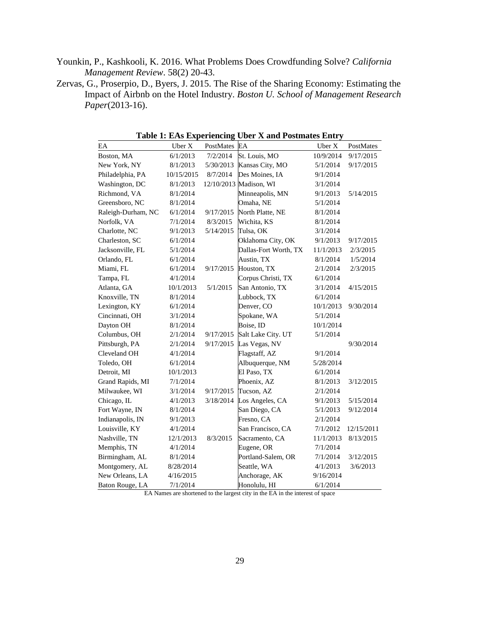- Younkin, P., Kashkooli, K. 2016. What Problems Does Crowdfunding Solve? *California Management Review*. 58(2) 20-43.
- Zervas, G., Proserpio, D., Byers, J. 2015. The Rise of the Sharing Economy: Estimating the Impact of Airbnb on the Hotel Industry. *Boston U. School of Management Research Paper*(2013-16).

| EA                 | Uber X     | PostMates  | EA                    | Uber X    | PostMates  |
|--------------------|------------|------------|-----------------------|-----------|------------|
| Boston, MA         | 6/1/2013   | 7/2/2014   | St. Louis, MO         | 10/9/2014 | 9/17/2015  |
| New York, NY       | 8/1/2013   | 5/30/2013  | Kansas City, MO       | 5/1/2014  | 9/17/2015  |
| Philadelphia, PA   | 10/15/2015 | 8/7/2014   | Des Moines, IA        | 9/1/2014  |            |
| Washington, DC     | 8/1/2013   | 12/10/2013 | Madison, WI           | 3/1/2014  |            |
| Richmond, VA       | 8/1/2014   |            | Minneapolis, MN       | 9/1/2013  | 5/14/2015  |
| Greensboro, NC     | 8/1/2014   |            | Omaha, NE             | 5/1/2014  |            |
| Raleigh-Durham, NC | 6/1/2014   | 9/17/2015  | North Platte, NE      | 8/1/2014  |            |
| Norfolk, VA        | 7/1/2014   | 8/3/2015   | Wichita, KS           | 8/1/2014  |            |
| Charlotte, NC      | 9/1/2013   | 5/14/2015  | Tulsa, OK             | 3/1/2014  |            |
| Charleston, SC     | 6/1/2014   |            | Oklahoma City, OK     | 9/1/2013  | 9/17/2015  |
| Jacksonville, FL   | 5/1/2014   |            | Dallas-Fort Worth, TX | 11/1/2013 | 2/3/2015   |
| Orlando, FL        | 6/1/2014   |            | Austin, TX            | 8/1/2014  | 1/5/2014   |
| Miami, FL          | 6/1/2014   | 9/17/2015  | Houston, TX           | 2/1/2014  | 2/3/2015   |
| Tampa, FL          | 4/1/2014   |            | Corpus Christi, TX    | 6/1/2014  |            |
| Atlanta, GA        | 10/1/2013  | 5/1/2015   | San Antonio, TX       | 3/1/2014  | 4/15/2015  |
| Knoxville, TN      | 8/1/2014   |            | Lubbock, TX           | 6/1/2014  |            |
| Lexington, KY      | 6/1/2014   |            | Denver, CO            | 10/1/2013 | 9/30/2014  |
| Cincinnati, OH     | 3/1/2014   |            | Spokane, WA           | 5/1/2014  |            |
| Dayton OH          | 8/1/2014   |            | Boise, ID             | 10/1/2014 |            |
| Columbus, OH       | 2/1/2014   | 9/17/2015  | Salt Lake City. UT    | 5/1/2014  |            |
| Pittsburgh, PA     | 2/1/2014   | 9/17/2015  | Las Vegas, NV         |           | 9/30/2014  |
| Cleveland OH       | 4/1/2014   |            | Flagstaff, AZ         | 9/1/2014  |            |
| Toledo, OH         | 6/1/2014   |            | Albuquerque, NM       | 5/28/2014 |            |
| Detroit, MI        | 10/1/2013  |            | El Paso, TX           | 6/1/2014  |            |
| Grand Rapids, MI   | 7/1/2014   |            | Phoenix, AZ           | 8/1/2013  | 3/12/2015  |
| Milwaukee, WI      | 3/1/2014   | 9/17/2015  | Tucson, AZ            | 2/1/2014  |            |
| Chicago, IL        | 4/1/2013   | 3/18/2014  | Los Angeles, CA       | 9/1/2013  | 5/15/2014  |
| Fort Wayne, IN     | 8/1/2014   |            | San Diego, CA         | 5/1/2013  | 9/12/2014  |
| Indianapolis, IN   | 9/1/2013   |            | Fresno, CA            | 2/1/2014  |            |
| Louisville, KY     | 4/1/2014   |            | San Francisco, CA     | 7/1/2012  | 12/15/2011 |
| Nashville, TN      | 12/1/2013  | 8/3/2015   | Sacramento, CA        | 11/1/2013 | 8/13/2015  |
| Memphis, TN        | 4/1/2014   |            | Eugene, OR            | 7/1/2014  |            |
| Birmingham, AL     | 8/1/2014   |            | Portland-Salem, OR    | 7/1/2014  | 3/12/2015  |
| Montgomery, AL     | 8/28/2014  |            | Seattle, WA           | 4/1/2013  | 3/6/2013   |
| New Orleans, LA    | 4/16/2015  |            | Anchorage, AK         | 9/16/2014 |            |
| Baton Rouge, LA    | 7/1/2014   |            | Honolulu, HI          | 6/1/2014  |            |

**Table 1: EAs Experiencing Uber X and Postmates Entry**

EA Names are shortened to the largest city in the EA in the interest of space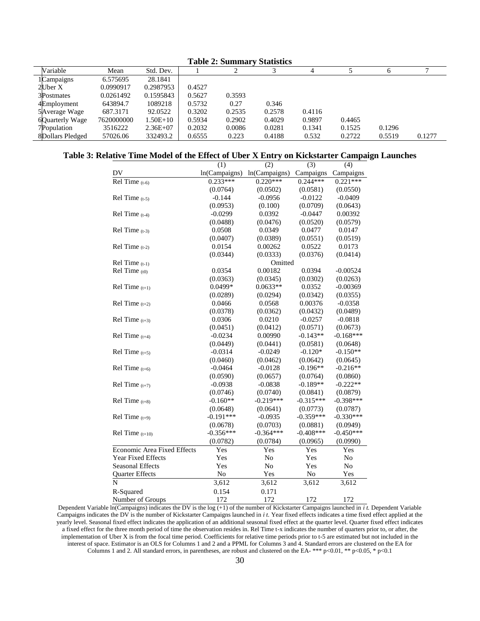| Table 2: Summary Statistics |            |            |        |        |        |        |        |        |        |
|-----------------------------|------------|------------|--------|--------|--------|--------|--------|--------|--------|
| Variable                    | Mean       | Std. Dev.  |        |        |        | 4      |        |        |        |
| 1Campaigns                  | 6.575695   | 28.1841    |        |        |        |        |        |        |        |
| 2Uber X                     | 0.0990917  | 0.2987953  | 0.4527 |        |        |        |        |        |        |
| 3Postmates                  | 0.0261492  | 0.1595843  | 0.5627 | 0.3593 |        |        |        |        |        |
| 4Employment                 | 643894.7   | 1089218    | 0.5732 | 0.27   | 0.346  |        |        |        |        |
| 5 Average Wage              | 687.3171   | 92.0522    | 0.3202 | 0.2535 | 0.2578 | 0.4116 |        |        |        |
| 6Quarterly Wage             | 7620000000 | 1.50E+10   | 0.5934 | 0.2902 | 0.4029 | 0.9897 | 0.4465 |        |        |
| 7Population                 | 3516222    | $2.36E+07$ | 0.2032 | 0.0086 | 0.0281 | 0.1341 | 0.1525 | 0.1296 |        |
| 8Dollars Pledged            | 57026.06   | 332493.2   | 0.6555 | 0.223  | 0.4188 | 0.532  | 0.2722 | 0.5519 | 0.1277 |

# **Table 2: Summary Statistics**

# **Table 3: Relative Time Model of the Effect of Uber X Entry on Kickstarter Campaign Launches**

|                                    | (1)            | (2)            | (3)         | (4)            |
|------------------------------------|----------------|----------------|-------------|----------------|
| DV                                 | ln(Campaigns)  | ln(Campaigns)  | Campaigns   | Campaigns      |
| $\overline{Rel}$ Time $(t-6)$      | $0.233***$     | $0.220***$     | $0.244***$  | $0.221***$     |
|                                    | (0.0764)       | (0.0502)       | (0.0581)    | (0.0550)       |
| Rel Time $(t-5)$                   | $-0.144$       | $-0.0956$      | $-0.0122$   | $-0.0409$      |
|                                    | (0.0953)       | (0.100)        | (0.0709)    | (0.0643)       |
| Rel Time $(t-4)$                   | $-0.0299$      | 0.0392         | $-0.0447$   | 0.00392        |
|                                    | (0.0488)       | (0.0476)       | (0.0520)    | (0.0579)       |
| Rel Time $(t-3)$                   | 0.0508         | 0.0349         | 0.0477      | 0.0147         |
|                                    | (0.0407)       | (0.0389)       | (0.0551)    | (0.0519)       |
| Rel Time $(t-2)$                   | 0.0154         | 0.00262        | 0.0522      | 0.0173         |
|                                    | (0.0344)       | (0.0333)       | (0.0376)    | (0.0414)       |
| Rel Time $(t-1)$                   |                | Omitted        |             |                |
| Rel Time $(10)$                    | 0.0354         | 0.00182        | 0.0394      | $-0.00524$     |
|                                    | (0.0363)       | (0.0345)       | (0.0302)    | (0.0263)       |
| Rel Time $(t+1)$                   | $0.0499*$      | $0.0633**$     | 0.0352      | $-0.00369$     |
|                                    | (0.0289)       | (0.0294)       | (0.0342)    | (0.0355)       |
| Rel Time $(t+2)$                   | 0.0466         | 0.0568         | 0.00376     | $-0.0358$      |
|                                    | (0.0378)       | (0.0362)       | (0.0432)    | (0.0489)       |
| Rel Time $(t+3)$                   | 0.0306         | 0.0210         | $-0.0257$   | $-0.0818$      |
|                                    | (0.0451)       | (0.0412)       | (0.0571)    | (0.0673)       |
| Rel Time $(t+4)$                   | $-0.0234$      | 0.00990        | $-0.143**$  | $-0.168***$    |
|                                    | (0.0449)       | (0.0441)       | (0.0581)    | (0.0648)       |
| Rel Time $(t+5)$                   | $-0.0314$      | $-0.0249$      | $-0.120*$   | $-0.150**$     |
|                                    | (0.0460)       | (0.0462)       | (0.0642)    | (0.0645)       |
| Rel Time $(t+6)$                   | $-0.0464$      | $-0.0128$      | $-0.196**$  | $-0.216**$     |
|                                    | (0.0590)       | (0.0657)       | (0.0764)    | (0.0860)       |
| Rel Time $(t+7)$                   | $-0.0938$      | $-0.0838$      | $-0.189**$  | $-0.222**$     |
|                                    | (0.0746)       | (0.0740)       | (0.0841)    | (0.0879)       |
| Rel Time $(t+8)$                   | $-0.160**$     | $-0.219***$    | $-0.315***$ | $-0.398***$    |
|                                    | (0.0648)       | (0.0641)       | (0.0773)    | (0.0787)       |
| Rel Time $(t+9)$                   | $-0.191***$    | $-0.0935$      | $-0.359***$ | $-0.330***$    |
|                                    | (0.0678)       | (0.0703)       | (0.0881)    | (0.0949)       |
| Rel Time $(t+10)$                  | $-0.356***$    | $-0.364***$    | $-0.408***$ | $-0.450***$    |
|                                    | (0.0782)       | (0.0784)       | (0.0965)    | (0.0990)       |
| <b>Economic Area Fixed Effects</b> | Yes            | Yes            | Yes         | Yes            |
| <b>Year Fixed Effects</b>          | Yes            | No             | Yes         | No             |
| <b>Seasonal Effects</b>            | Yes            | N <sub>o</sub> | Yes         | N <sub>o</sub> |
| <b>Ouarter Effects</b>             | N <sub>o</sub> | Yes            | No          | Yes            |
| N                                  | 3,612          | 3,612          | 3,612       | 3,612          |
| R-Squared                          | 0.154          | 0.171          |             |                |
| Number of Groups                   | 172            | 172            | 172         | 172            |

Dependent Variable ln(Campaigns) indicates the DV is the log (+1) of the number of Kickstarter Campaigns launched in *i t.* Dependent Variable Campaigns indicates the DV is the number of Kickstarter Campaigns launched in *i t.* Year fixed effects indicates a time fixed effect applied at the yearly level. Seasonal fixed effect indicates the application of an additional seasonal fixed effect at the quarter level. Quarter fixed effect indicates a fixed effect for the three month period of time the observation resides in. Rel Time t-x indicates the number of quarters prior to, or after, the implementation of Uber X is from the focal time period. Coefficients for relative time periods prior to t-5 are estimated but not included in the interest of space. Estimator is an OLS for Columns 1 and 2 and a PPML for Columns 3 and 4. Standard errors are clustered on the EA for Columns 1 and 2. All standard errors, in parentheses, are robust and clustered on the EA- \*\*\* p<0.01, \*\* p<0.05, \* p<0.1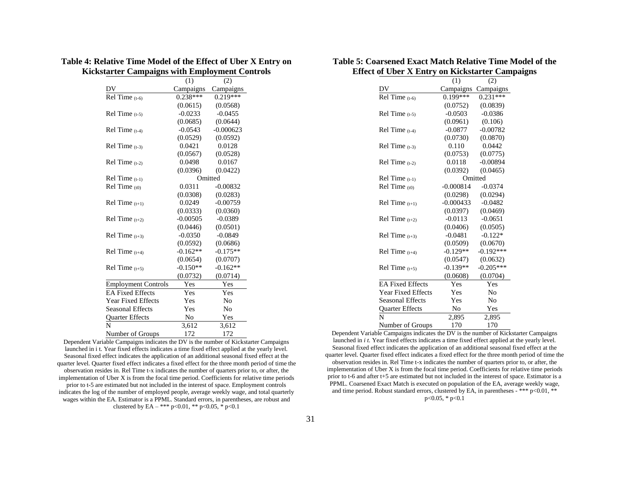# **Table 4: Relative Time Model of the Effect of Uber X Entry on Kickstarter Campaigns with Employment Controls**

|                            | (1)        | (2)         |  |
|----------------------------|------------|-------------|--|
| DV                         | Campaigns  | Campaigns   |  |
| Rel Time $(t-6)$           | $0.238***$ | $0.219***$  |  |
|                            | (0.0615)   | (0.0568)    |  |
| Rel Time $(t-5)$           | $-0.0233$  | $-0.0455$   |  |
|                            | (0.0685)   | (0.0644)    |  |
| $Rel$ Time $(t-4)$         | $-0.0543$  | $-0.000623$ |  |
|                            | (0.0529)   | (0.0592)    |  |
| $Rel Time_{(t-3)}$         | 0.0421     | 0.0128      |  |
|                            | (0.0567)   | (0.0528)    |  |
| Rel Time $(t-2)$           | 0.0498     | 0.0167      |  |
|                            | (0.0396)   | (0.0422)    |  |
| Rel Time $(t-1)$           |            | Omitted     |  |
| $Rel Time_{(t0)}$          | 0.0311     | $-0.00832$  |  |
|                            | (0.0308)   | (0.0283)    |  |
| Rel Time $(t+1)$           | 0.0249     | $-0.00759$  |  |
|                            | (0.0333)   | (0.0360)    |  |
| Rel Time $(t+2)$           | $-0.00505$ | $-0.0389$   |  |
|                            | (0.0446)   | (0.0501)    |  |
| Rel Time $(t+3)$           | $-0.0350$  | $-0.0849$   |  |
|                            | (0.0592)   | (0.0686)    |  |
| Rel Time $(t+4)$           | $-0.162**$ | $-0.175**$  |  |
|                            | (0.0654)   | (0.0707)    |  |
| Rel Time $(t+5)$           | $-0.150**$ | $-0.162**$  |  |
|                            | (0.0732)   | (0.0714)    |  |
| <b>Employment Controls</b> | Yes        | Yes         |  |
| <b>EA Fixed Effects</b>    | Yes        | Yes         |  |
| <b>Year Fixed Effects</b>  | Yes        | No          |  |
| <b>Seasonal Effects</b>    | Yes        | No          |  |
| <b>Ouarter Effects</b>     | No         | Yes         |  |
| N                          | 3,612      | 3,612       |  |
| Number of Groups           | 172        | 172         |  |

Dependent Variable Campaigns indicates the DV is the number of Kickstarter Campaigns launched in i t. Year fixed effects indicates a time fixed effect applied at the yearly level. Seasonal fixed effect indicates the application of an additional seasonal fixed effect at the quarter level. Quarter fixed effect indicates a fixed effect for the three month period of time the observation resides in. Rel Time t-x indicates the number of quarters prior to, or after, the implementation of Uber X is from the focal time period. Coefficients for relative time periods prior to t-5 are estimated but not included in the interest of space. Employment controls indicates the log of the number of employed people, average weekly wage, and total quarterly wages within the EA. Estimator is a PPML. Standard errors, in parentheses, are robust and clustered by EA – \*\*\* p<0.01, \*\* p<0.05, \* p<0.1

# **Table 5: Coarsened Exact Match Relative Time Model of the Effect of Uber X Entry on Kickstarter Campaigns**

|                           | (1)         | (2)                    |
|---------------------------|-------------|------------------------|
| DV                        | Campaigns   | Campaigns              |
| Rel Time $(t-6)$          | $0.199***$  | $\overline{0.231}$ *** |
|                           | (0.0752)    | (0.0839)               |
| Rel Time $(t-5)$          | $-0.0503$   | $-0.0386$              |
|                           | (0.0961)    | (0.106)                |
| $Rel Time (t-4)$          | $-0.0877$   | $-0.00782$             |
|                           | (0.0730)    | (0.0870)               |
| $Rel Time (t-3)$          | 0.110       | 0.0442                 |
|                           | (0.0753)    | (0.0775)               |
| $Rel Time (t-2)$          | 0.0118      | $-0.00894$             |
|                           | (0.0392)    | (0.0465)               |
| $Rel Time_{(t-1)}$        |             | Omitted                |
| Rel Time (t0)             | $-0.000814$ | $-0.0374$              |
|                           | (0.0298)    | (0.0294)               |
| Rel Time $(t+1)$          | $-0.000433$ | $-0.0482$              |
|                           | (0.0397)    | (0.0469)               |
| Rel Time $(t+2)$          | $-0.0113$   | $-0.0651$              |
|                           | (0.0406)    | (0.0505)               |
| Rel Time $(t+3)$          | $-0.0481$   | $-0.122*$              |
|                           | (0.0509)    | (0.0670)               |
| Rel Time $(t+4)$          | $-0.129**$  | $-0.192***$            |
|                           | (0.0547)    | (0.0632)               |
| Rel Time $(t+5)$          | $-0.139**$  | $-0.205***$            |
|                           | (0.0608)    | (0.0704)               |
| <b>EA Fixed Effects</b>   | Yes         | Yes                    |
| <b>Year Fixed Effects</b> | Yes         | No                     |
| <b>Seasonal Effects</b>   | Yes         | N <sub>o</sub>         |
| <b>Ouarter Effects</b>    | No          | Yes                    |
| N                         | 2,895       | 2,895                  |
| Number of Groups          | 170         | 170                    |

Dependent Variable Campaigns indicates the DV is the number of Kickstarter Campaigns launched in *i t*. Year fixed effects indicates a time fixed effect applied at the yearly level. Seasonal fixed effect indicates the application of an additional seasonal fixed effect at the quarter level. Quarter fixed effect indicates a fixed effect for the three month period of time the observation resides in. Rel Time t-x indicates the number of quarters prior to, or after, the implementation of Uber X is from the focal time period. Coefficients for relative time periods prior to t-6 and after t+5 are estimated but not included in the interest of space. Estimator is a PPML. Coarsened Exact Match is executed on population of the EA, average weekly wage, and time period. Robust standard errors, clustered by EA, in parentheses - \*\*\*  $p<0.01$ , \*\*  $p<0.05$ , \*  $p<0.1$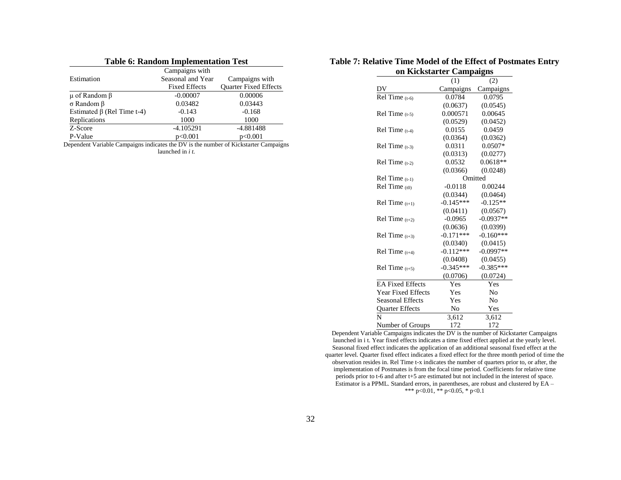| <b>Table 6: Random Implementation Test</b> |                      |                              |  |  |  |
|--------------------------------------------|----------------------|------------------------------|--|--|--|
|                                            | Campaigns with       |                              |  |  |  |
| Estimation                                 | Seasonal and Year    | Campaigns with               |  |  |  |
|                                            | <b>Fixed Effects</b> | <b>Ouarter Fixed Effects</b> |  |  |  |
| $\mu$ of Random $\beta$                    | $-0.00007$           | 0.00006                      |  |  |  |
| $\sigma$ Random $\beta$                    | 0.03482              | 0.03443                      |  |  |  |
| Estimated $\beta$ (Rel Time t-4)           | $-0.143$             | $-0.168$                     |  |  |  |
| Replications                               | 1000                 | 1000                         |  |  |  |
| Z-Score                                    | $-4.105291$          | $-4.881488$                  |  |  |  |
| P-Value                                    | p<0.001              | p<0.001                      |  |  |  |

Dependent Variable Campaigns indicates the DV is the number of Kickstarter Campaigns launched in *i t.*

#### **Table 7: Relative Time Model of the Effect of Postmates Entry on Kickstarter Campaigns**

| vii isichətai ici         |             | липратдия      |
|---------------------------|-------------|----------------|
|                           | (1)         | (2)            |
| DV                        | Campaigns   | Campaigns      |
| Rel Time $(t-6)$          | 0.0784      | 0.0795         |
|                           | (0.0637)    | (0.0545)       |
| Rel Time $(t-5)$          | 0.000571    | 0.00645        |
|                           | (0.0529)    | (0.0452)       |
| Rel Time $(t-4)$          | 0.0155      | 0.0459         |
|                           | (0.0364)    | (0.0362)       |
| Rel Time $(t-3)$          | 0.0311      | $0.0507*$      |
|                           | (0.0313)    | (0.0277)       |
| Rel Time $(t-2)$          | 0.0532      | $0.0618**$     |
|                           | (0.0366)    | (0.0248)       |
| $Rel Time_{(t-1)}$        |             | Omitted        |
| Rel Time $(t0)$           | $-0.0118$   | 0.00244        |
|                           | (0.0344)    | (0.0464)       |
| Rel Time $(t+1)$          | $-0.145***$ | $-0.125**$     |
|                           | (0.0411)    | (0.0567)       |
| Rel Time $(t+2)$          | $-0.0965$   | $-0.0937**$    |
|                           | (0.0636)    | (0.0399)       |
| Rel Time $(t+3)$          | $-0.171***$ | $-0.160***$    |
|                           | (0.0340)    | (0.0415)       |
| Rel Time $(t+4)$          | $-0.112***$ | $-0.0997**$    |
|                           | (0.0408)    | (0.0455)       |
| Rel Time $(t+5)$          | $-0.345***$ | $-0.385***$    |
|                           | (0.0706)    | (0.0724)       |
| <b>EA Fixed Effects</b>   | Yes         | Yes            |
| <b>Year Fixed Effects</b> | Yes         | N <sub>o</sub> |
| <b>Seasonal Effects</b>   | Yes         | N <sub>0</sub> |
| <b>Quarter Effects</b>    | No          | Yes            |
| N                         | 3,612       | 3,612          |
| Number of Groups          | 172         | 172            |

Dependent Variable Campaigns indicates the DV is the number of Kickstarter Campaigns launched in i t. Year fixed effects indicates a time fixed effect applied at the yearly level. Seasonal fixed effect indicates the application of an additional seasonal fixed effect at the quarter level. Quarter fixed effect indicates a fixed effect for the three month period of time the observation resides in. Rel Time t-x indicates the number of quarters prior to, or after, the implementation of Postmates is from the focal time period. Coefficients for relative time periods prior to t-6 and after t+5 are estimated but not included in the interest of space. Estimator is a PPML. Standard errors, in parentheses, are robust and clustered by EA – \*\*\* p<0.01, \*\* p<0.05, \* p<0.1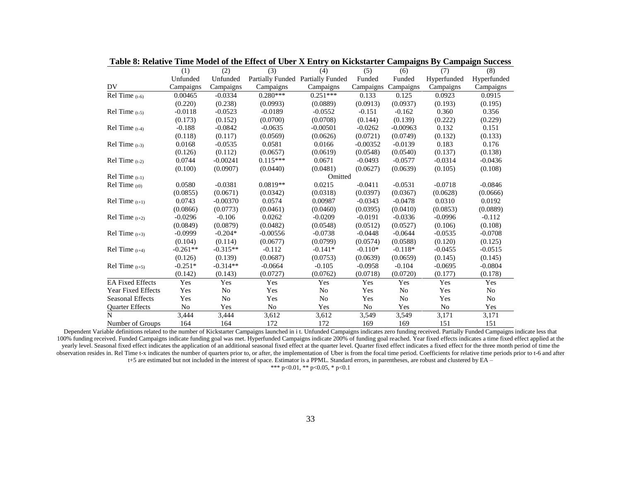|                           | (1)        | (2)            | (3)        | (4)                               | (5)        | (6)            | (7)         | (8)            |
|---------------------------|------------|----------------|------------|-----------------------------------|------------|----------------|-------------|----------------|
|                           | Unfunded   | Unfunded       |            | Partially Funded Partially Funded | Funded     | Funded         | Hyperfunded | Hyperfunded    |
| DV                        | Campaigns  | Campaigns      | Campaigns  | Campaigns                         | Campaigns  | Campaigns      | Campaigns   | Campaigns      |
| Rel Time $(t-6)$          | 0.00465    | $-0.0334$      | $0.280***$ | $0.251***$                        | 0.133      | 0.125          | 0.0923      | 0.0915         |
|                           | (0.220)    | (0.238)        | (0.0993)   | (0.0889)                          | (0.0913)   | (0.0937)       | (0.193)     | (0.195)        |
| $Rel Time_{(t-5)}$        | $-0.0118$  | $-0.0523$      | $-0.0189$  | $-0.0552$                         | $-0.151$   | $-0.162$       | 0.360       | 0.356          |
|                           | (0.173)    | (0.152)        | (0.0700)   | (0.0708)                          | (0.144)    | (0.139)        | (0.222)     | (0.229)        |
| Rel Time $(t-4)$          | $-0.188$   | $-0.0842$      | $-0.0635$  | $-0.00501$                        | $-0.0262$  | $-0.00963$     | 0.132       | 0.151          |
|                           | (0.118)    | (0.117)        | (0.0569)   | (0.0626)                          | (0.0721)   | (0.0749)       | (0.132)     | (0.133)        |
| Rel Time $(t-3)$          | 0.0168     | $-0.0535$      | 0.0581     | 0.0166                            | $-0.00352$ | $-0.0139$      | 0.183       | 0.176          |
|                           | (0.126)    | (0.112)        | (0.0657)   | (0.0619)                          | (0.0548)   | (0.0540)       | (0.137)     | (0.138)        |
| $Rel Time$ (t-2)          | 0.0744     | $-0.00241$     | $0.115***$ | 0.0671                            | $-0.0493$  | $-0.0577$      | $-0.0314$   | $-0.0436$      |
|                           | (0.100)    | (0.0907)       | (0.0440)   | (0.0481)                          | (0.0627)   | (0.0639)       | (0.105)     | (0.108)        |
| $Rel Time$ (t-1)          |            |                |            | Omitted                           |            |                |             |                |
| $Rel Time_{(t0)}$         | 0.0580     | $-0.0381$      | $0.0819**$ | 0.0215                            | $-0.0411$  | $-0.0531$      | $-0.0718$   | $-0.0846$      |
|                           | (0.0855)   | (0.0671)       | (0.0342)   | (0.0318)                          | (0.0397)   | (0.0367)       | (0.0628)    | (0.0666)       |
| Rel Time $(t+1)$          | 0.0743     | $-0.00370$     | 0.0574     | 0.00987                           | $-0.0343$  | $-0.0478$      | 0.0310      | 0.0192         |
|                           | (0.0866)   | (0.0773)       | (0.0461)   | (0.0460)                          | (0.0395)   | (0.0410)       | (0.0853)    | (0.0889)       |
| Rel Time $(t+2)$          | $-0.0296$  | $-0.106$       | 0.0262     | $-0.0209$                         | $-0.0191$  | $-0.0336$      | $-0.0996$   | $-0.112$       |
|                           | (0.0849)   | (0.0879)       | (0.0482)   | (0.0548)                          | (0.0512)   | (0.0527)       | (0.106)     | (0.108)        |
| Rel Time $(t+3)$          | $-0.0999$  | $-0.204*$      | $-0.00556$ | $-0.0738$                         | $-0.0448$  | $-0.0644$      | $-0.0535$   | $-0.0708$      |
|                           | (0.104)    | (0.114)        | (0.0677)   | (0.0799)                          | (0.0574)   | (0.0588)       | (0.120)     | (0.125)        |
| Rel Time $(t+4)$          | $-0.261**$ | $-0.315**$     | $-0.112$   | $-0.141*$                         | $-0.110*$  | $-0.118*$      | $-0.0455$   | $-0.0515$      |
|                           | (0.126)    | (0.139)        | (0.0687)   | (0.0753)                          | (0.0639)   | (0.0659)       | (0.145)     | (0.145)        |
| Rel Time $(t+5)$          | $-0.251*$  | $-0.314**$     | $-0.0664$  | $-0.105$                          | $-0.0958$  | $-0.104$       | $-0.0695$   | $-0.0804$      |
|                           | (0.142)    | (0.143)        | (0.0727)   | (0.0762)                          | (0.0718)   | (0.0720)       | (0.177)     | (0.178)        |
| <b>EA Fixed Effects</b>   | Yes        | Yes            | Yes        | Yes                               | Yes        | Yes            | Yes         | Yes            |
| <b>Year Fixed Effects</b> | Yes        | N <sub>o</sub> | Yes        | No                                | Yes        | No             | Yes         | No             |
| <b>Seasonal Effects</b>   | Yes        | N <sub>0</sub> | Yes        | N <sub>0</sub>                    | Yes        | N <sub>0</sub> | Yes         | N <sub>0</sub> |
| <b>Ouarter Effects</b>    | No         | Yes            | No         | Yes                               | No         | Yes            | No          | Yes            |
| N                         | 3,444      | 3,444          | 3,612      | 3,612                             | 3,549      | 3,549          | 3,171       | 3,171          |
| Number of Groups          | 164        | 164            | 172        | 172                               | 169        | 169            | 151         | 151            |

**Table 8: Relative Time Model of the Effect of Uber X Entry on Kickstarter Campaigns By Campaign Success**

Dependent Variable definitions related to the number of Kickstarter Campaigns launched in i t. Unfunded Campaigns indicates zero funding received. Partially Funded Campaigns indicate less that 100% funding received. Funded Campaigns indicate funding goal was met. Hyperfunded Campaigns indicate 200% of funding goal reached. Year fixed effects indicates a time fixed effect applied at the yearly level. Seasonal fixed effect indicates the application of an additional seasonal fixed effect at the quarter level. Quarter fixed effect indicates a fixed effect for the three month period of time the observation resides in. Rel Time t-x indicates the number of quarters prior to, or after, the implementation of Uber is from the focal time period. Coefficients for relative time periods prior to t-6 and after

t+5 are estimated but not included in the interest of space. Estimator is a PPML. Standard errors, in parentheses, are robust and clustered by EA –

\*\*\* p<0.01, \*\* p<0.05, \* p<0.1